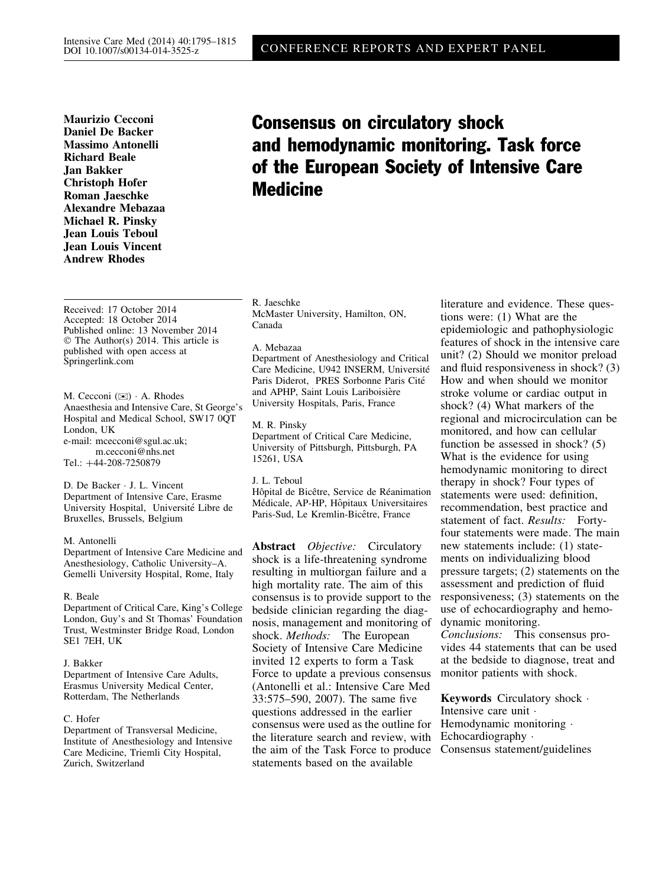Maurizio Cecconi Daniel De Backer Massimo Antonelli Richard Beale Jan Bakker Christoph Hofer Roman Jaeschke Alexandre Mebazaa Michael R. Pinsky Jean Louis Teboul Jean Louis Vincent Andrew Rhodes

# Consensus on circulatory shock and hemodynamic monitoring. Task force of the European Society of Intensive Care **Medicine**

Received: 17 October 2014 Accepted: 18 October 2014 Published online: 13 November 2014 © The Author(s) 2014. This article is published with open access at Springerlink.com

M. Cecconi  $(\mathbb{Z})$  · A. Rhodes Anaesthesia and Intensive Care, St George's Hospital and Medical School, SW17 0QT London, UK e-mail: mcecconi@sgul.ac.uk; m.cecconi@nhs.net Tel.: +44-208-7250879

D. De Backer - J. L. Vincent Department of Intensive Care, Erasme University Hospital, Université Libre de Bruxelles, Brussels, Belgium

#### M. Antonelli

Department of Intensive Care Medicine and Anesthesiology, Catholic University–A. Gemelli University Hospital, Rome, Italy

#### R. Beale

Department of Critical Care, King's College London, Guy's and St Thomas' Foundation Trust, Westminster Bridge Road, London SE1 7EH, UK

#### J. Bakker

Department of Intensive Care Adults, Erasmus University Medical Center, Rotterdam, The Netherlands

#### C. Hofer

Department of Transversal Medicine, Institute of Anesthesiology and Intensive Care Medicine, Triemli City Hospital, Zurich, Switzerland

#### R. Jaeschke

McMaster University, Hamilton, ON, Canada

#### A. Mebazaa

Department of Anesthesiology and Critical Care Medicine, U942 INSERM, Universite´ Paris Diderot, PRES Sorbonne Paris Cité and APHP, Saint Louis Lariboisière University Hospitals, Paris, France

M. R. Pinsky Department of Critical Care Medicine, University of Pittsburgh, Pittsburgh, PA 15261, USA

J. L. Teboul Hôpital de Bicêtre, Service de Réanimation Médicale, AP-HP, Hôpitaux Universitaires Paris-Sud, Le Kremlin-Bicêtre, France

Abstract *Objective*: Circulatory shock is a life-threatening syndrome resulting in multiorgan failure and a high mortality rate. The aim of this consensus is to provide support to the bedside clinician regarding the diagnosis, management and monitoring of shock. Methods: The European Society of Intensive Care Medicine invited 12 experts to form a Task Force to update a previous consensus (Antonelli et al.: Intensive Care Med 33:575–590, 2007). The same five questions addressed in the earlier consensus were used as the outline for the literature search and review, with the aim of the Task Force to produce statements based on the available

literature and evidence. These questions were: (1) What are the epidemiologic and pathophysiologic features of shock in the intensive care unit? (2) Should we monitor preload and fluid responsiveness in shock? (3) How and when should we monitor stroke volume or cardiac output in shock? (4) What markers of the regional and microcirculation can be monitored, and how can cellular function be assessed in shock? (5) What is the evidence for using hemodynamic monitoring to direct therapy in shock? Four types of statements were used: definition, recommendation, best practice and statement of fact. Results: Fortyfour statements were made. The main new statements include: (1) statements on individualizing blood pressure targets; (2) statements on the assessment and prediction of fluid responsiveness; (3) statements on the use of echocardiography and hemodynamic monitoring.

Conclusions: This consensus provides 44 statements that can be used at the bedside to diagnose, treat and monitor patients with shock.

Keywords Circulatory shock - Intensive care unit  $\cdot$ Hemodynamic monitoring  $\cdot$ Echocardiography - Consensus statement/guidelines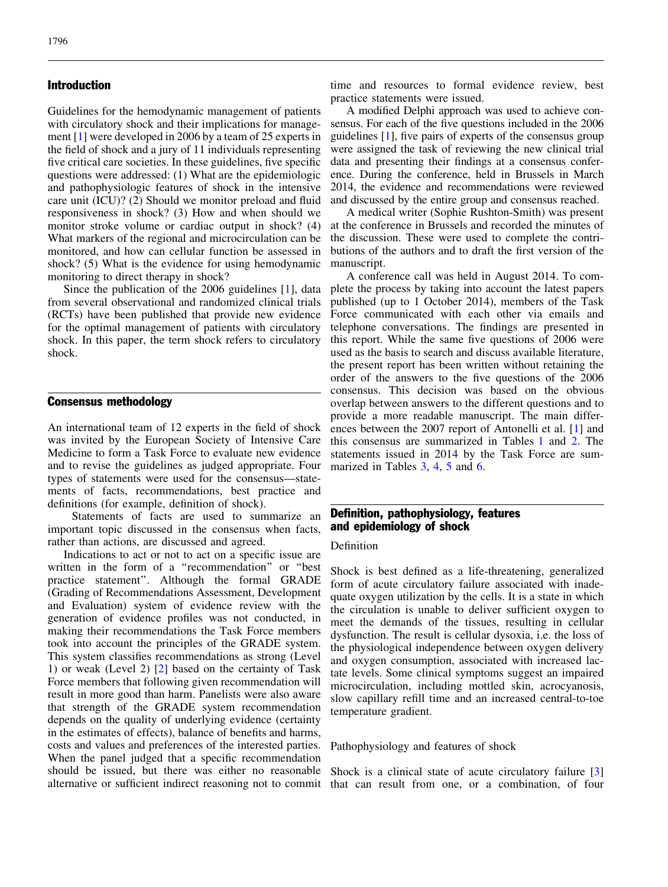# Introduction

Guidelines for the hemodynamic management of patients with circulatory shock and their implications for management [\[1](#page-15-0)] were developed in 2006 by a team of 25 experts in the field of shock and a jury of 11 individuals representing five critical care societies. In these guidelines, five specific questions were addressed: (1) What are the epidemiologic and pathophysiologic features of shock in the intensive care unit (ICU)? (2) Should we monitor preload and fluid responsiveness in shock? (3) How and when should we monitor stroke volume or cardiac output in shock? (4) What markers of the regional and microcirculation can be monitored, and how can cellular function be assessed in shock? (5) What is the evidence for using hemodynamic monitoring to direct therapy in shock?

Since the publication of the 2006 guidelines [[1](#page-15-0)], data from several observational and randomized clinical trials (RCTs) have been published that provide new evidence for the optimal management of patients with circulatory shock. In this paper, the term shock refers to circulatory shock.

# Consensus methodology

An international team of 12 experts in the field of shock was invited by the European Society of Intensive Care Medicine to form a Task Force to evaluate new evidence and to revise the guidelines as judged appropriate. Four types of statements were used for the consensus—statements of facts, recommendations, best practice and definitions (for example, definition of shock).

Statements of facts are used to summarize an important topic discussed in the consensus when facts, rather than actions, are discussed and agreed.

Indications to act or not to act on a specific issue are written in the form of a "recommendation" or "best practice statement''. Although the formal GRADE (Grading of Recommendations Assessment, Development and Evaluation) system of evidence review with the generation of evidence profiles was not conducted, in making their recommendations the Task Force members took into account the principles of the GRADE system. This system classifies recommendations as strong (Level 1) or weak (Level 2) [\[2](#page-15-0)] based on the certainty of Task Force members that following given recommendation will result in more good than harm. Panelists were also aware that strength of the GRADE system recommendation depends on the quality of underlying evidence (certainty in the estimates of effects), balance of benefits and harms, costs and values and preferences of the interested parties. When the panel judged that a specific recommendation should be issued, but there was either no reasonable

time and resources to formal evidence review, best practice statements were issued.

A modified Delphi approach was used to achieve consensus. For each of the five questions included in the 2006 guidelines [\[1](#page-15-0)], five pairs of experts of the consensus group were assigned the task of reviewing the new clinical trial data and presenting their findings at a consensus conference. During the conference, held in Brussels in March 2014, the evidence and recommendations were reviewed and discussed by the entire group and consensus reached.

A medical writer (Sophie Rushton-Smith) was present at the conference in Brussels and recorded the minutes of the discussion. These were used to complete the contributions of the authors and to draft the first version of the manuscript.

A conference call was held in August 2014. To complete the process by taking into account the latest papers published (up to 1 October 2014), members of the Task Force communicated with each other via emails and telephone conversations. The findings are presented in this report. While the same five questions of 2006 were used as the basis to search and discuss available literature, the present report has been written without retaining the order of the answers to the five questions of the 2006 consensus. This decision was based on the obvious overlap between answers to the different questions and to provide a more readable manuscript. The main differences between the 2007 report of Antonelli et al. [\[1\]](#page-15-0) and this consensus are summarized in Tables [1](#page-2-0) and [2.](#page-3-0) The statements issued in 2014 by the Task Force are summarized in Tables [3](#page-5-0), [4,](#page-6-0) [5](#page-7-0) and [6](#page-8-0).

# Definition, pathophysiology, features and epidemiology of shock

# Definition

Shock is best defined as a life-threatening, generalized form of acute circulatory failure associated with inadequate oxygen utilization by the cells. It is a state in which the circulation is unable to deliver sufficient oxygen to meet the demands of the tissues, resulting in cellular dysfunction. The result is cellular dysoxia, i.e. the loss of the physiological independence between oxygen delivery and oxygen consumption, associated with increased lactate levels. Some clinical symptoms suggest an impaired microcirculation, including mottled skin, acrocyanosis, slow capillary refill time and an increased central-to-toe temperature gradient.

Pathophysiology and features of shock

alternative or sufficient indirect reasoning not to commit that can result from one, or a combination, of four Shock is a clinical state of acute circulatory failure [[3](#page-15-0)]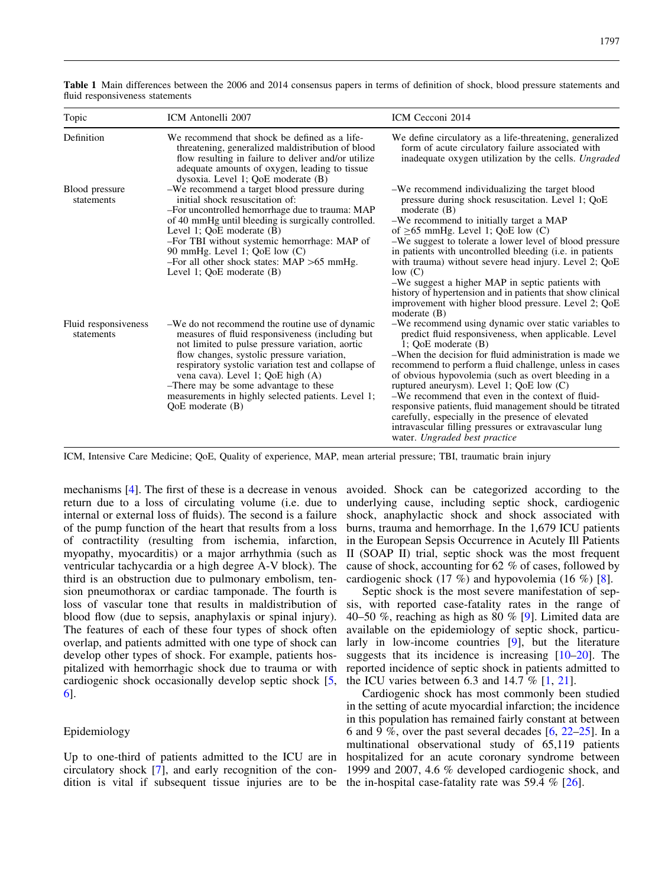| Topic                              | ICM Antonelli 2007                                                                                                                                                                                                                                                                                                                                                                                                     | ICM Cecconi 2014                                                                                                                                                                                                                                                                                                                                                                                                                                                                                                                                                                                                             |
|------------------------------------|------------------------------------------------------------------------------------------------------------------------------------------------------------------------------------------------------------------------------------------------------------------------------------------------------------------------------------------------------------------------------------------------------------------------|------------------------------------------------------------------------------------------------------------------------------------------------------------------------------------------------------------------------------------------------------------------------------------------------------------------------------------------------------------------------------------------------------------------------------------------------------------------------------------------------------------------------------------------------------------------------------------------------------------------------------|
| Definition                         | We recommend that shock be defined as a life-<br>threatening, generalized maldistribution of blood<br>flow resulting in failure to deliver and/or utilize<br>adequate amounts of oxygen, leading to tissue<br>dysoxia. Level 1; QoE moderate (B)                                                                                                                                                                       | We define circulatory as a life-threatening, generalized<br>form of acute circulatory failure associated with<br>inadequate oxygen utilization by the cells. Ungraded                                                                                                                                                                                                                                                                                                                                                                                                                                                        |
| Blood pressure<br>statements       | -We recommend a target blood pressure during<br>initial shock resuscitation of:<br>-For uncontrolled hemorrhage due to trauma: MAP<br>of 40 mmHg until bleeding is surgically controlled.<br>Level 1; QoE moderate (B)<br>-For TBI without systemic hemorrhage: MAP of<br>90 mmHg. Level 1; QoE low (C)<br>-For all other shock states: $MAP > 65$ mmHg.<br>Level 1; $OoE$ moderate $(B)$                              | -We recommend individualizing the target blood<br>pressure during shock resuscitation. Level 1; QoE<br>moderate $(B)$<br>-We recommend to initially target a MAP<br>of $\geq 65$ mmHg. Level 1; QoE low (C)<br>-We suggest to tolerate a lower level of blood pressure<br>in patients with uncontrolled bleeding ( <i>i.e.</i> in patients<br>with trauma) without severe head injury. Level 2; QoE<br>low (C)<br>-We suggest a higher MAP in septic patients with<br>history of hypertension and in patients that show clinical<br>improvement with higher blood pressure. Level 2; QoE<br>moderate $(B)$                   |
| Fluid responsiveness<br>statements | -We do not recommend the routine use of dynamic<br>measures of fluid responsiveness (including but<br>not limited to pulse pressure variation, aortic<br>flow changes, systolic pressure variation,<br>respiratory systolic variation test and collapse of<br>vena cava). Level 1; QoE high (A)<br>-There may be some advantage to these<br>measurements in highly selected patients. Level 1;<br>$OoE$ moderate $(B)$ | -We recommend using dynamic over static variables to<br>predict fluid responsiveness, when applicable. Level<br>1; OoE moderate $(B)$<br>-When the decision for fluid administration is made we<br>recommend to perform a fluid challenge, unless in cases<br>of obvious hypovolemia (such as overt bleeding in a<br>ruptured aneurysm). Level 1; QoE low (C)<br>-We recommend that even in the context of fluid-<br>responsive patients, fluid management should be titrated<br>carefully, especially in the presence of elevated<br>intravascular filling pressures or extravascular lung<br>water. Ungraded best practice |

<span id="page-2-0"></span>Table 1 Main differences between the 2006 and 2014 consensus papers in terms of definition of shock, blood pressure statements and fluid responsiveness statements

ICM, Intensive Care Medicine; QoE, Quality of experience, MAP, mean arterial pressure; TBI, traumatic brain injury

mechanisms [[4](#page-15-0)]. The first of these is a decrease in venous return due to a loss of circulating volume (i.e. due to internal or external loss of fluids). The second is a failure of the pump function of the heart that results from a loss of contractility (resulting from ischemia, infarction, myopathy, myocarditis) or a major arrhythmia (such as ventricular tachycardia or a high degree A-V block). The third is an obstruction due to pulmonary embolism, tension pneumothorax or cardiac tamponade. The fourth is loss of vascular tone that results in maldistribution of blood flow (due to sepsis, anaphylaxis or spinal injury). The features of each of these four types of shock often overlap, and patients admitted with one type of shock can develop other types of shock. For example, patients hospitalized with hemorrhagic shock due to trauma or with cardiogenic shock occasionally develop septic shock [[5,](#page-16-0) [6\]](#page-16-0).

# Epidemiology

Up to one-third of patients admitted to the ICU are in circulatory shock [[7](#page-16-0)], and early recognition of the condition is vital if subsequent tissue injuries are to be the in-hospital case-fatality rate was 59.4 % [[26](#page-16-0)].

avoided. Shock can be categorized according to the underlying cause, including septic shock, cardiogenic shock, anaphylactic shock and shock associated with burns, trauma and hemorrhage. In the 1,679 ICU patients in the European Sepsis Occurrence in Acutely Ill Patients II (SOAP II) trial, septic shock was the most frequent cause of shock, accounting for 62 % of cases, followed by cardiogenic shock (17 %) and hypovolemia (16 %) [[8](#page-16-0)].

Septic shock is the most severe manifestation of sepsis, with reported case-fatality rates in the range of 40–50 %, reaching as high as 80 % [[9](#page-16-0)]. Limited data are available on the epidemiology of septic shock, particularly in low-income countries [\[9\]](#page-16-0), but the literature suggests that its incidence is increasing  $[10-20]$ . The reported incidence of septic shock in patients admitted to the ICU varies between 6.3 and 14.7  $%$  [\[1,](#page-15-0) [21](#page-16-0)].

Cardiogenic shock has most commonly been studied in the setting of acute myocardial infarction; the incidence in this population has remained fairly constant at between 6 and 9 %, over the past several decades [[6,](#page-16-0) [22–25\]](#page-16-0). In a multinational observational study of 65,119 patients hospitalized for an acute coronary syndrome between 1999 and 2007, 4.6 % developed cardiogenic shock, and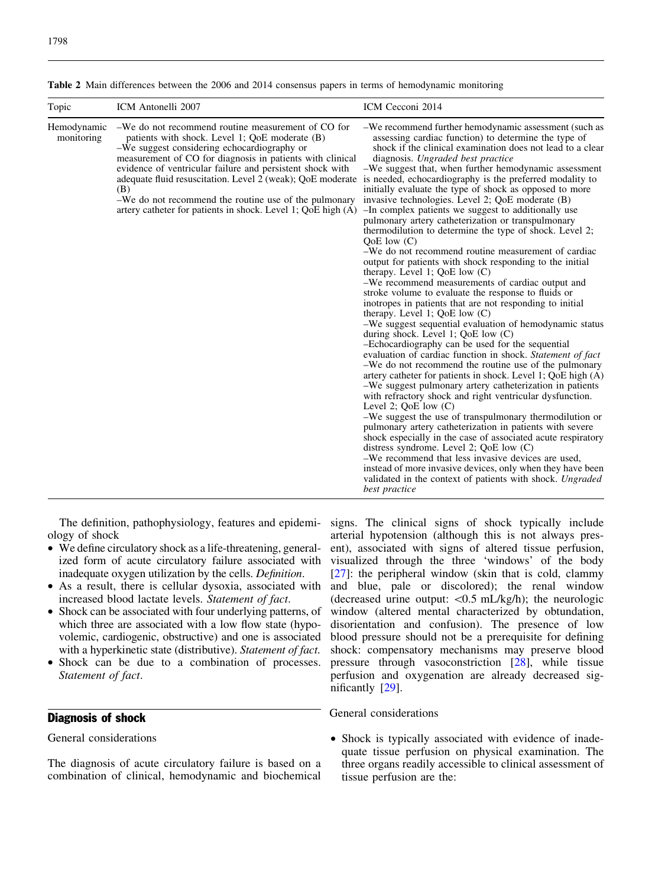| Topic                     | ICM Antonelli 2007                                                                                                                                                                                                                                                                                                                                                                                                                                                                                                                   | ICM Cecconi 2014                                                                                                                                                                                                                                                                                                                                                                                                                                                                                                                                                                                                                                                                                                                                                                                                                                                                                                                                                                                                                                                                                                                                                                                                                                                                                                                                                                                                                                                                                                                                                                                                                                                                                                                                                                                                                                                                        |
|---------------------------|--------------------------------------------------------------------------------------------------------------------------------------------------------------------------------------------------------------------------------------------------------------------------------------------------------------------------------------------------------------------------------------------------------------------------------------------------------------------------------------------------------------------------------------|-----------------------------------------------------------------------------------------------------------------------------------------------------------------------------------------------------------------------------------------------------------------------------------------------------------------------------------------------------------------------------------------------------------------------------------------------------------------------------------------------------------------------------------------------------------------------------------------------------------------------------------------------------------------------------------------------------------------------------------------------------------------------------------------------------------------------------------------------------------------------------------------------------------------------------------------------------------------------------------------------------------------------------------------------------------------------------------------------------------------------------------------------------------------------------------------------------------------------------------------------------------------------------------------------------------------------------------------------------------------------------------------------------------------------------------------------------------------------------------------------------------------------------------------------------------------------------------------------------------------------------------------------------------------------------------------------------------------------------------------------------------------------------------------------------------------------------------------------------------------------------------------|
| Hemodynamic<br>monitoring | -We do not recommend routine measurement of CO for<br>patients with shock. Level 1; QoE moderate (B)<br>-We suggest considering echocardiography or<br>measurement of CO for diagnosis in patients with clinical<br>evidence of ventricular failure and persistent shock with<br>adequate fluid resuscitation. Level 2 (weak); QoE moderate is needed, echocardiography is the preferred modality to<br>(B)<br>-We do not recommend the routine use of the pulmonary<br>artery catheter for patients in shock. Level 1; QoE high (A) | -We recommend further hemodynamic assessment (such as<br>assessing cardiac function) to determine the type of<br>shock if the clinical examination does not lead to a clear<br>diagnosis. Ungraded best practice<br>-We suggest that, when further hemodynamic assessment<br>initially evaluate the type of shock as opposed to more<br>invasive technologies. Level 2; QoE moderate (B)<br>-In complex patients we suggest to additionally use<br>pulmonary artery catheterization or transpulmonary<br>thermodilution to determine the type of shock. Level 2;<br>$OoE$ low $(C)$<br>-We do not recommend routine measurement of cardiac<br>output for patients with shock responding to the initial<br>therapy. Level 1; $QoE$ low $(C)$<br>-We recommend measurements of cardiac output and<br>stroke volume to evaluate the response to fluids or<br>inotropes in patients that are not responding to initial<br>therapy. Level 1; QoE low (C)<br>-We suggest sequential evaluation of hemodynamic status<br>during shock. Level 1; QoE low (C)<br>-Echocardiography can be used for the sequential<br>evaluation of cardiac function in shock. Statement of fact<br>-We do not recommend the routine use of the pulmonary<br>artery catheter for patients in shock. Level 1; QoE high (A)<br>-We suggest pulmonary artery catheterization in patients<br>with refractory shock and right ventricular dysfunction.<br>Level 2; $QoE$ low $(C)$<br>-We suggest the use of transpulmonary thermodilution or<br>pulmonary artery catheterization in patients with severe<br>shock especially in the case of associated acute respiratory<br>distress syndrome. Level 2; QoE low (C)<br>-We recommend that less invasive devices are used,<br>instead of more invasive devices, only when they have been<br>validated in the context of patients with shock. Ungraded<br>best practice |

<span id="page-3-0"></span>Table 2 Main differences between the 2006 and 2014 consensus papers in terms of hemodynamic monitoring

The definition, pathophysiology, features and epidemiology of shock

- We define circulatory shock as a life-threatening, generalized form of acute circulatory failure associated with inadequate oxygen utilization by the cells. Definition.
- As a result, there is cellular dysoxia, associated with increased blood lactate levels. Statement of fact.
- Shock can be associated with four underlying patterns, of which three are associated with a low flow state (hypovolemic, cardiogenic, obstructive) and one is associated with a hyperkinetic state (distributive). Statement of fact.
- Shock can be due to a combination of processes. Statement of fact.

# Diagnosis of shock

General considerations

The diagnosis of acute circulatory failure is based on a combination of clinical, hemodynamic and biochemical signs. The clinical signs of shock typically include arterial hypotension (although this is not always present), associated with signs of altered tissue perfusion, visualized through the three 'windows' of the body  $[27]$ : the peripheral window (skin that is cold, clammy and blue, pale or discolored); the renal window (decreased urine output:  $\langle 0.5 \text{ mL/kg/h} \rangle$ ; the neurologic window (altered mental characterized by obtundation, disorientation and confusion). The presence of low blood pressure should not be a prerequisite for defining shock: compensatory mechanisms may preserve blood pressure through vasoconstriction [[28](#page-16-0)], while tissue perfusion and oxygenation are already decreased significantly [[29](#page-16-0)].

General considerations

• Shock is typically associated with evidence of inadequate tissue perfusion on physical examination. The three organs readily accessible to clinical assessment of tissue perfusion are the: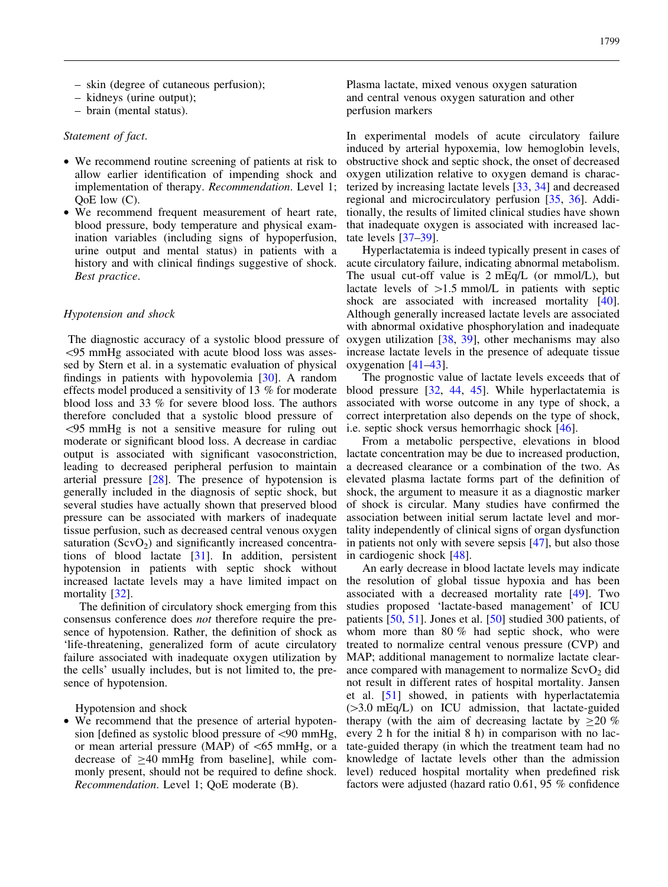- kidneys (urine output);
- brain (mental status).

# Statement of fact.

- We recommend routine screening of patients at risk to allow earlier identification of impending shock and implementation of therapy. Recommendation. Level 1; QoE low (C).
- We recommend frequent measurement of heart rate, blood pressure, body temperature and physical examination variables (including signs of hypoperfusion, urine output and mental status) in patients with a history and with clinical findings suggestive of shock. Best practice.

#### Hypotension and shock

The diagnostic accuracy of a systolic blood pressure of \95 mmHg associated with acute blood loss was assessed by Stern et al. in a systematic evaluation of physical findings in patients with hypovolemia [[30](#page-16-0)]. A random effects model produced a sensitivity of 13 % for moderate blood loss and 33 % for severe blood loss. The authors therefore concluded that a systolic blood pressure of  $\leq$ 95 mmHg is not a sensitive measure for ruling out moderate or significant blood loss. A decrease in cardiac output is associated with significant vasoconstriction, leading to decreased peripheral perfusion to maintain arterial pressure [\[28](#page-16-0)]. The presence of hypotension is generally included in the diagnosis of septic shock, but several studies have actually shown that preserved blood pressure can be associated with markers of inadequate tissue perfusion, such as decreased central venous oxygen saturation  $(ScvO<sub>2</sub>)$  and significantly increased concentrations of blood lactate [\[31\]](#page-16-0). In addition, persistent hypotension in patients with septic shock without increased lactate levels may a have limited impact on mortality [\[32\]](#page-16-0).

The definition of circulatory shock emerging from this consensus conference does not therefore require the presence of hypotension. Rather, the definition of shock as 'life-threatening, generalized form of acute circulatory failure associated with inadequate oxygen utilization by the cells' usually includes, but is not limited to, the presence of hypotension.

Hypotension and shock

• We recommend that the presence of arterial hypotension [defined as systolic blood pressure of <90 mmHg, or mean arterial pressure (MAP) of  $\leq 65$  mmHg, or a decrease of  $\geq$ 40 mmHg from baseline], while commonly present, should not be required to define shock. Recommendation. Level 1; QoE moderate (B).

Plasma lactate, mixed venous oxygen saturation and central venous oxygen saturation and other perfusion markers

In experimental models of acute circulatory failure induced by arterial hypoxemia, low hemoglobin levels, obstructive shock and septic shock, the onset of decreased oxygen utilization relative to oxygen demand is characterized by increasing lactate levels [[33](#page-16-0), [34](#page-17-0)] and decreased regional and microcirculatory perfusion [[35](#page-17-0), [36\]](#page-17-0). Additionally, the results of limited clinical studies have shown that inadequate oxygen is associated with increased lactate levels [\[37–39](#page-17-0)].

Hyperlactatemia is indeed typically present in cases of acute circulatory failure, indicating abnormal metabolism. The usual cut-off value is 2 mEq/L (or mmol/L), but lactate levels of  $>1.5$  mmol/L in patients with septic shock are associated with increased mortality [\[40\]](#page-17-0). Although generally increased lactate levels are associated with abnormal oxidative phosphorylation and inadequate oxygen utilization [\[38,](#page-17-0) [39\]](#page-17-0), other mechanisms may also increase lactate levels in the presence of adequate tissue oxygenation [[41–43\]](#page-17-0).

The prognostic value of lactate levels exceeds that of blood pressure [\[32,](#page-16-0) [44](#page-17-0), [45](#page-17-0)]. While hyperlactatemia is associated with worse outcome in any type of shock, a correct interpretation also depends on the type of shock, i.e. septic shock versus hemorrhagic shock [\[46\]](#page-17-0).

From a metabolic perspective, elevations in blood lactate concentration may be due to increased production, a decreased clearance or a combination of the two. As elevated plasma lactate forms part of the definition of shock, the argument to measure it as a diagnostic marker of shock is circular. Many studies have confirmed the association between initial serum lactate level and mortality independently of clinical signs of organ dysfunction in patients not only with severe sepsis [\[47\]](#page-17-0), but also those in cardiogenic shock [\[48\]](#page-17-0).

An early decrease in blood lactate levels may indicate the resolution of global tissue hypoxia and has been associated with a decreased mortality rate [[49](#page-17-0)]. Two studies proposed 'lactate-based management' of ICU patients [\[50,](#page-17-0) [51\]](#page-17-0). Jones et al. [\[50](#page-17-0)] studied 300 patients, of whom more than 80 % had septic shock, who were treated to normalize central venous pressure (CVP) and MAP; additional management to normalize lactate clearance compared with management to normalize  $ScvO<sub>2</sub>$  did not result in different rates of hospital mortality. Jansen et al. [[51](#page-17-0)] showed, in patients with hyperlactatemia  $(>=3.0 \text{ mEq/L})$  on ICU admission, that lactate-guided therapy (with the aim of decreasing lactate by  $\geq$  20 % every 2 h for the initial 8 h) in comparison with no lactate-guided therapy (in which the treatment team had no knowledge of lactate levels other than the admission level) reduced hospital mortality when predefined risk factors were adjusted (hazard ratio 0.61, 95 % confidence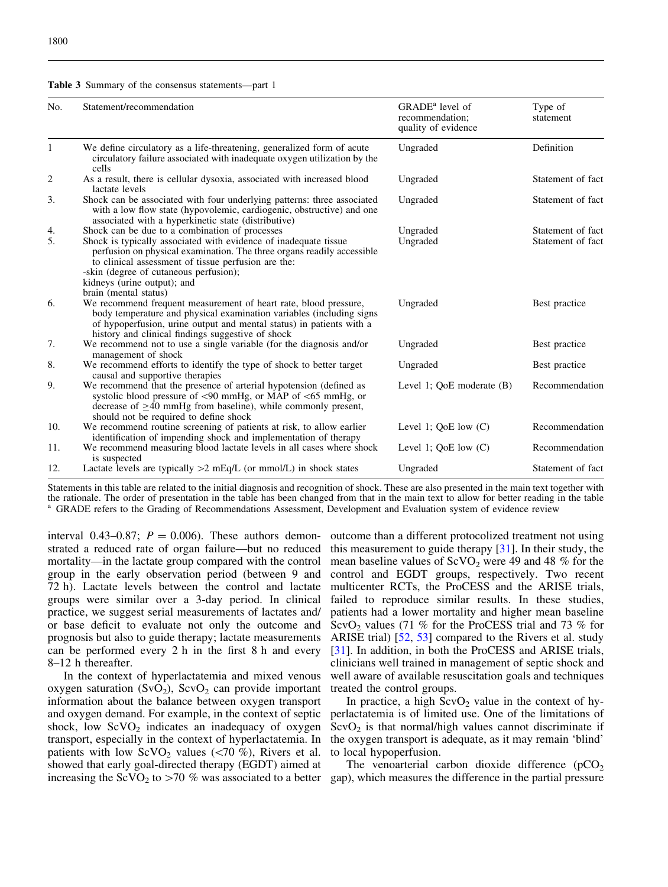# <span id="page-5-0"></span>Table 3 Summary of the consensus statements—part 1

| No.            | Statement/recommendation                                                                                                                                                                                                                                                          | GRADE <sup>a</sup> level of<br>recommendation:<br>quality of evidence | Type of<br>statement |
|----------------|-----------------------------------------------------------------------------------------------------------------------------------------------------------------------------------------------------------------------------------------------------------------------------------|-----------------------------------------------------------------------|----------------------|
| $\mathbf{1}$   | We define circulatory as a life-threatening, generalized form of acute<br>circulatory failure associated with inadequate oxygen utilization by the<br>cells                                                                                                                       | Ungraded                                                              | Definition           |
| $\overline{2}$ | As a result, there is cellular dysoxia, associated with increased blood<br>lactate levels                                                                                                                                                                                         | Ungraded                                                              | Statement of fact    |
| 3.             | Shock can be associated with four underlying patterns: three associated<br>with a low flow state (hypovolemic, cardiogenic, obstructive) and one<br>associated with a hyperkinetic state (distributive)                                                                           | Ungraded                                                              | Statement of fact    |
| 4.             | Shock can be due to a combination of processes                                                                                                                                                                                                                                    | Ungraded                                                              | Statement of fact    |
| 5.             | Shock is typically associated with evidence of inadequate tissue<br>perfusion on physical examination. The three organs readily accessible<br>to clinical assessment of tissue perfusion are the:<br>-skin (degree of cutaneous perfusion);<br>kidneys (urine output); and        | Ungraded                                                              | Statement of fact    |
|                | brain (mental status)                                                                                                                                                                                                                                                             |                                                                       |                      |
| 6.             | We recommend frequent measurement of heart rate, blood pressure,<br>body temperature and physical examination variables (including signs<br>of hypoperfusion, urine output and mental status) in patients with a<br>history and clinical findings suggestive of shock             | Ungraded                                                              | Best practice        |
| 7.             | We recommend not to use a single variable (for the diagnosis and/or<br>management of shock                                                                                                                                                                                        | Ungraded                                                              | Best practice        |
| 8.             | We recommend efforts to identify the type of shock to better target<br>causal and supportive therapies                                                                                                                                                                            | Ungraded                                                              | Best practice        |
| 9.             | We recommend that the presence of arterial hypotension (defined as<br>systolic blood pressure of $\langle 90 \text{ mmHg}$ , or MAP of $\langle 65 \text{ mmHg}$ , or<br>decrease of $>40$ mmHg from baseline), while commonly present,<br>should not be required to define shock | Level 1; $OoE$ moderate $(B)$                                         | Recommendation       |
| 10.            | We recommend routine screening of patients at risk, to allow earlier<br>identification of impending shock and implementation of therapy                                                                                                                                           | Level 1; $QoE$ low $(C)$                                              | Recommendation       |
| 11.            | We recommend measuring blood lactate levels in all cases where shock<br>is suspected                                                                                                                                                                                              | Level 1; $QoE$ low $(C)$                                              | Recommendation       |
| 12.            | Lactate levels are typically $>2$ mEq/L (or mmol/L) in shock states                                                                                                                                                                                                               | Ungraded                                                              | Statement of fact    |

Statements in this table are related to the initial diagnosis and recognition of shock. These are also presented in the main text together with the rationale. The order of presentation in the table has been changed from that in the main text to allow for better reading in the table <sup>a</sup> GRADE refers to the Grading of Recommendations Assessment, Development and Evaluation system of evidence review

interval 0.43–0.87;  $P = 0.006$ . These authors demonstrated a reduced rate of organ failure—but no reduced mortality—in the lactate group compared with the control group in the early observation period (between 9 and 72 h). Lactate levels between the control and lactate groups were similar over a 3-day period. In clinical practice, we suggest serial measurements of lactates and/ or base deficit to evaluate not only the outcome and prognosis but also to guide therapy; lactate measurements can be performed every 2 h in the first 8 h and every 8–12 h thereafter.

In the context of hyperlactatemia and mixed venous oxygen saturation (SvO<sub>2</sub>), ScvO<sub>2</sub> can provide important information about the balance between oxygen transport and oxygen demand. For example, in the context of septic shock, low  $ScVO<sub>2</sub>$  indicates an inadequacy of oxygen transport, especially in the context of hyperlactatemia. In patients with low ScVO<sub>2</sub> values ( $\langle 70 \%$ ), Rivers et al. showed that early goal-directed therapy (EGDT) aimed at increasing the ScVO<sub>2</sub> to  $>70$  % was associated to a better

outcome than a different protocolized treatment not using this measurement to guide therapy  $[31]$ . In their study, the mean baseline values of  $ScVO<sub>2</sub>$  were 49 and 48 % for the control and EGDT groups, respectively. Two recent multicenter RCTs, the ProCESS and the ARISE trials, failed to reproduce similar results. In these studies, patients had a lower mortality and higher mean baseline ScvO<sub>2</sub> values (71 % for the ProCESS trial and 73 % for ARISE trial) [\[52,](#page-17-0) [53](#page-17-0)] compared to the Rivers et al. study [\[31\]](#page-16-0). In addition, in both the ProCESS and ARISE trials, clinicians well trained in management of septic shock and well aware of available resuscitation goals and techniques treated the control groups.

In practice, a high  $ScvO<sub>2</sub>$  value in the context of hyperlactatemia is of limited use. One of the limitations of  $ScvO<sub>2</sub>$  is that normal/high values cannot discriminate if the oxygen transport is adequate, as it may remain 'blind' to local hypoperfusion.

The venoarterial carbon dioxide difference  $(pCO<sub>2</sub>)$ gap), which measures the difference in the partial pressure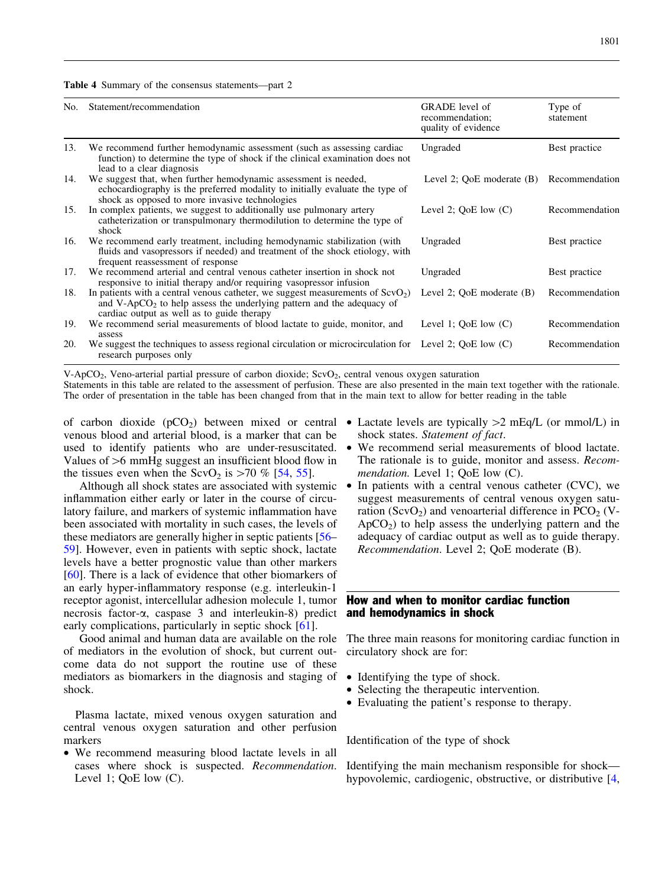<span id="page-6-0"></span>Table 4 Summary of the consensus statements—part 2

| No. | Statement/recommendation                                                                                                                                                                                            | <b>GRADE</b> level of<br>recommendation;<br>quality of evidence | Type of<br>statement |
|-----|---------------------------------------------------------------------------------------------------------------------------------------------------------------------------------------------------------------------|-----------------------------------------------------------------|----------------------|
| 13. | We recommend further hemodynamic assessment (such as assessing cardiac<br>function) to determine the type of shock if the clinical examination does not<br>lead to a clear diagnosis                                | Ungraded                                                        | Best practice        |
| 14. | We suggest that, when further hemodynamic assessment is needed,<br>echocardiography is the preferred modality to initially evaluate the type of<br>shock as opposed to more invasive technologies                   | Level 2; $OoE$ moderate $(B)$                                   | Recommendation       |
| 15. | In complex patients, we suggest to additionally use pulmonary artery<br>catheterization or transpulmonary thermodilution to determine the type of<br>shock                                                          | Level 2; $QoE$ low $(C)$                                        | Recommendation       |
| 16. | We recommend early treatment, including hemodynamic stabilization (with<br>fluids and vasopressors if needed) and treatment of the shock etiology, with<br>frequent reassessment of response                        | Ungraded                                                        | Best practice        |
| 17. | We recommend arterial and central venous catheter insertion in shock not<br>responsive to initial therapy and/or requiring vasopressor infusion                                                                     | Ungraded                                                        | Best practice        |
| 18. | In patients with a central venous catheter, we suggest measurements of $ScvO2$ )<br>and V-ApCO <sub>2</sub> to help assess the underlying pattern and the adequacy of<br>cardiac output as well as to guide therapy | Level 2; $QoE$ moderate $(B)$                                   | Recommendation       |
| 19. | We recommend serial measurements of blood lactate to guide, monitor, and<br>assess                                                                                                                                  | Level 1; $QoE$ low $(C)$                                        | Recommendation       |
| 20. | We suggest the techniques to assess regional circulation or microcirculation for<br>research purposes only                                                                                                          | Level 2; $QoE$ low $(C)$                                        | Recommendation       |

V-ApCO2, Veno-arterial partial pressure of carbon dioxide; ScvO2, central venous oxygen saturation

Statements in this table are related to the assessment of perfusion. These are also presented in the main text together with the rationale. The order of presentation in the table has been changed from that in the main text to allow for better reading in the table

venous blood and arterial blood, is a marker that can be used to identify patients who are under-resuscitated. Values of  $>6$  mmHg suggest an insufficient blood flow in the tissues even when the ScvO<sub>2</sub> is  $>70$  % [[54](#page-17-0), [55\]](#page-17-0).

Although all shock states are associated with systemic  $\bullet$ inflammation either early or later in the course of circulatory failure, and markers of systemic inflammation have been associated with mortality in such cases, the levels of these mediators are generally higher in septic patients [[56](#page-17-0)– [59](#page-17-0)]. However, even in patients with septic shock, lactate levels have a better prognostic value than other markers [\[60\]](#page-17-0). There is a lack of evidence that other biomarkers of an early hyper-inflammatory response (e.g. interleukin-1 receptor agonist, intercellular adhesion molecule 1, tumor necrosis factor-a, caspase 3 and interleukin-8) predict early complications, particularly in septic shock [[61](#page-17-0)].

Good animal and human data are available on the role of mediators in the evolution of shock, but current outcome data do not support the routine use of these mediators as biomarkers in the diagnosis and staging of shock.

Plasma lactate, mixed venous oxygen saturation and central venous oxygen saturation and other perfusion markers

• We recommend measuring blood lactate levels in all cases where shock is suspected. Recommendation. Level 1; QoE low (C).

- of carbon dioxide ( $pCO_2$ ) between mixed or central Lactate levels are typically  $>2$  mEq/L (or mmol/L) in shock states. Statement of fact.
	- We recommend serial measurements of blood lactate. The rationale is to guide, monitor and assess. Recommendation. Level 1; OoE low (C).
	- In patients with a central venous catheter  $(CVC)$ , we suggest measurements of central venous oxygen saturation (ScvO<sub>2</sub>) and venoarterial difference in  $PCO<sub>2</sub>$  (V- $ApCO<sub>2</sub>$ ) to help assess the underlying pattern and the adequacy of cardiac output as well as to guide therapy. Recommendation. Level 2; QoE moderate (B).

# How and when to monitor cardiac function and hemodynamics in shock

The three main reasons for monitoring cardiac function in circulatory shock are for:

- Identifying the type of shock.
- Selecting the therapeutic intervention.
- Evaluating the patient's response to therapy.

Identification of the type of shock

Identifying the main mechanism responsible for shock hypovolemic, cardiogenic, obstructive, or distributive [[4](#page-15-0),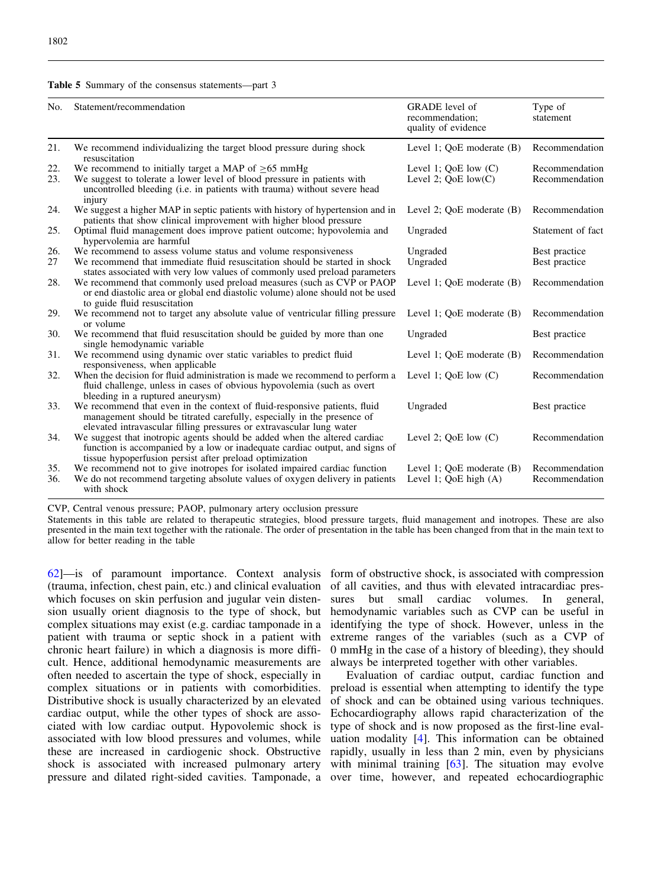# <span id="page-7-0"></span>Table 5 Summary of the consensus statements—part 3

| No.        | Statement/recommendation                                                                                                                                                                                                    | <b>GRADE</b> level of<br>recommendation;<br>quality of evidence | Type of<br>statement             |
|------------|-----------------------------------------------------------------------------------------------------------------------------------------------------------------------------------------------------------------------------|-----------------------------------------------------------------|----------------------------------|
| 21.        | We recommend individualizing the target blood pressure during shock<br>resuscitation                                                                                                                                        | Level 1; $OoE$ moderate $(B)$                                   | Recommendation                   |
| 22.<br>23. | We recommend to initially target a MAP of $\geq 65$ mmHg<br>We suggest to tolerate a lower level of blood pressure in patients with<br>uncontrolled bleeding (i.e. in patients with trauma) without severe head<br>injury   | Level 1; $QoE$ low $(C)$<br>Level 2; $OoE$ low $(C)$            | Recommendation<br>Recommendation |
| 24.        | We suggest a higher MAP in septic patients with history of hypertension and in<br>patients that show clinical improvement with higher blood pressure                                                                        | Level 2; $QoE$ moderate $(B)$                                   | Recommendation                   |
| 25.        | Optimal fluid management does improve patient outcome; hypovolemia and<br>hypervolemia are harmful                                                                                                                          | Ungraded                                                        | Statement of fact                |
| 26.<br>27  | We recommend to assess volume status and volume responsiveness<br>We recommend that immediate fluid resuscitation should be started in shock<br>states associated with very low values of commonly used preload parameters  | Ungraded<br>Ungraded                                            | Best practice<br>Best practice   |
| 28.        | We recommend that commonly used preload measures (such as CVP or PAOP<br>or end diastolic area or global end diastolic volume) alone should not be used<br>to guide fluid resuscitation                                     | Level 1; OoE moderate (B)                                       | Recommendation                   |
| 29.        | We recommend not to target any absolute value of ventricular filling pressure<br>or volume                                                                                                                                  | Level 1; QoE moderate (B)                                       | Recommendation                   |
| 30.        | We recommend that fluid resuscitation should be guided by more than one<br>single hemodynamic variable                                                                                                                      | Ungraded                                                        | Best practice                    |
| 31.        | We recommend using dynamic over static variables to predict fluid<br>responsiveness, when applicable                                                                                                                        | Level 1; QoE moderate (B)                                       | Recommendation                   |
| 32.        | When the decision for fluid administration is made we recommend to perform a<br>fluid challenge, unless in cases of obvious hypovolemia (such as overt<br>bleeding in a ruptured aneurysm)                                  | Level 1; $QoE$ low $(C)$                                        | Recommendation                   |
| 33.        | We recommend that even in the context of fluid-responsive patients, fluid<br>management should be titrated carefully, especially in the presence of<br>elevated intravascular filling pressures or extravascular lung water | Ungraded                                                        | Best practice                    |
| 34.        | We suggest that inotropic agents should be added when the altered cardiac<br>function is accompanied by a low or inadequate cardiac output, and signs of<br>tissue hypoperfusion persist after preload optimization         | Level 2; $QoE$ low $(C)$                                        | Recommendation                   |
| 35.        | We recommend not to give inotropes for isolated impaired cardiac function                                                                                                                                                   | Level 1; $QoE$ moderate $(B)$                                   | Recommendation                   |
| 36.        | We do not recommend targeting absolute values of oxygen delivery in patients<br>with shock                                                                                                                                  | Level 1: $OoE$ high $(A)$                                       | Recommendation                   |

CVP, Central venous pressure; PAOP, pulmonary artery occlusion pressure

Statements in this table are related to therapeutic strategies, blood pressure targets, fluid management and inotropes. These are also presented in the main text together with the rationale. The order of presentation in the table has been changed from that in the main text to allow for better reading in the table

[62\]](#page-17-0)––is of paramount importance. Context analysis (trauma, infection, chest pain, etc.) and clinical evaluation which focuses on skin perfusion and jugular vein distension usually orient diagnosis to the type of shock, but complex situations may exist (e.g. cardiac tamponade in a patient with trauma or septic shock in a patient with chronic heart failure) in which a diagnosis is more difficult. Hence, additional hemodynamic measurements are often needed to ascertain the type of shock, especially in complex situations or in patients with comorbidities. Distributive shock is usually characterized by an elevated cardiac output, while the other types of shock are associated with low cardiac output. Hypovolemic shock is associated with low blood pressures and volumes, while these are increased in cardiogenic shock. Obstructive shock is associated with increased pulmonary artery pressure and dilated right-sided cavities. Tamponade, a over time, however, and repeated echocardiographic

form of obstructive shock, is associated with compression of all cavities, and thus with elevated intracardiac pressures but small cardiac volumes. In general, hemodynamic variables such as CVP can be useful in identifying the type of shock. However, unless in the extreme ranges of the variables (such as a CVP of 0 mmHg in the case of a history of bleeding), they should always be interpreted together with other variables.

Evaluation of cardiac output, cardiac function and preload is essential when attempting to identify the type of shock and can be obtained using various techniques. Echocardiography allows rapid characterization of the type of shock and is now proposed as the first-line evaluation modality [\[4\]](#page-15-0). This information can be obtained rapidly, usually in less than 2 min, even by physicians with minimal training [\[63\]](#page-17-0). The situation may evolve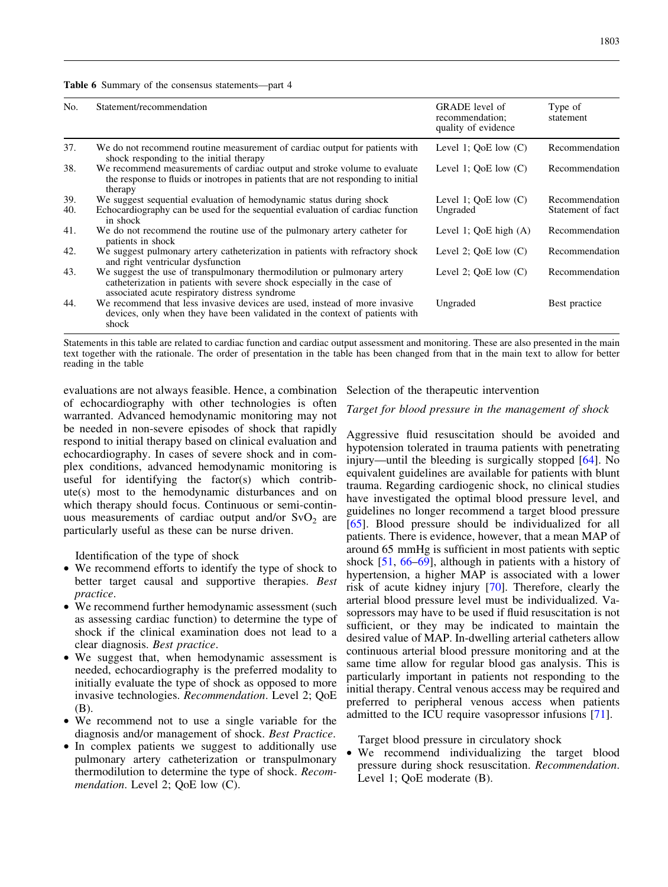<span id="page-8-0"></span>Table 6 Summary of the consensus statements—part 4

| No. | Statement/recommendation                                                                                                                                                                             | <b>GRADE</b> level of<br>recommendation;<br>quality of evidence | Type of<br>statement |
|-----|------------------------------------------------------------------------------------------------------------------------------------------------------------------------------------------------------|-----------------------------------------------------------------|----------------------|
| 37. | We do not recommend routine measurement of cardiac output for patients with<br>shock responding to the initial therapy                                                                               | Level 1; $OoE$ low $(C)$                                        | Recommendation       |
| 38. | We recommend measurements of cardiac output and stroke volume to evaluate<br>the response to fluids or inotropes in patients that are not responding to initial<br>therapy                           | Level 1; $QoE$ low $(C)$                                        | Recommendation       |
| 39. | We suggest sequential evaluation of hemodynamic status during shock                                                                                                                                  | Level 1: $OoE$ low $(C)$                                        | Recommendation       |
| 40. | Echocardiography can be used for the sequential evaluation of cardiac function<br>in shock                                                                                                           | Ungraded                                                        | Statement of fact    |
| 41. | We do not recommend the routine use of the pulmonary artery catheter for<br>patients in shock                                                                                                        | Level 1; $QoE$ high $(A)$                                       | Recommendation       |
| 42. | We suggest pulmonary artery catheterization in patients with refractory shock<br>and right ventricular dysfunction                                                                                   | Level 2; $QoE$ low $(C)$                                        | Recommendation       |
| 43. | We suggest the use of transpulmonary thermodilution or pulmonary artery<br>catheterization in patients with severe shock especially in the case of<br>associated acute respiratory distress syndrome | Level 2; $QoE$ low $(C)$                                        | Recommendation       |
| 44. | We recommend that less invasive devices are used, instead of more invasive<br>devices, only when they have been validated in the context of patients with<br>shock                                   | Ungraded                                                        | Best practice        |

Statements in this table are related to cardiac function and cardiac output assessment and monitoring. These are also presented in the main text together with the rationale. The order of presentation in the table has been changed from that in the main text to allow for better reading in the table

evaluations are not always feasible. Hence, a combination of echocardiography with other technologies is often warranted. Advanced hemodynamic monitoring may not be needed in non-severe episodes of shock that rapidly respond to initial therapy based on clinical evaluation and echocardiography. In cases of severe shock and in complex conditions, advanced hemodynamic monitoring is useful for identifying the factor(s) which contribute(s) most to the hemodynamic disturbances and on which therapy should focus. Continuous or semi-continuous measurements of cardiac output and/or  $SvO<sub>2</sub>$  are particularly useful as these can be nurse driven.

Identification of the type of shock

- We recommend efforts to identify the type of shock to better target causal and supportive therapies. Best practice.
- We recommend further hemodynamic assessment (such as assessing cardiac function) to determine the type of shock if the clinical examination does not lead to a clear diagnosis. Best practice.
- We suggest that, when hemodynamic assessment is needed, echocardiography is the preferred modality to initially evaluate the type of shock as opposed to more invasive technologies. Recommendation. Level 2; QoE (B).
- We recommend not to use a single variable for the diagnosis and/or management of shock. Best Practice.
- In complex patients we suggest to additionally use pulmonary artery catheterization or transpulmonary thermodilution to determine the type of shock. Recommendation. Level 2; QoE low (C).

### Selection of the therapeutic intervention

#### Target for blood pressure in the management of shock

Aggressive fluid resuscitation should be avoided and hypotension tolerated in trauma patients with penetrating injury—until the bleeding is surgically stopped [[64](#page-17-0)]. No equivalent guidelines are available for patients with blunt trauma. Regarding cardiogenic shock, no clinical studies have investigated the optimal blood pressure level, and guidelines no longer recommend a target blood pressure [\[65\]](#page-18-0). Blood pressure should be individualized for all patients. There is evidence, however, that a mean MAP of around 65 mmHg is sufficient in most patients with septic shock [\[51,](#page-17-0) [66](#page-18-0)–[69](#page-18-0)], although in patients with a history of hypertension, a higher MAP is associated with a lower risk of acute kidney injury [\[70\]](#page-18-0). Therefore, clearly the arterial blood pressure level must be individualized. Vasopressors may have to be used if fluid resuscitation is not sufficient, or they may be indicated to maintain the desired value of MAP. In-dwelling arterial catheters allow continuous arterial blood pressure monitoring and at the same time allow for regular blood gas analysis. This is particularly important in patients not responding to the initial therapy. Central venous access may be required and preferred to peripheral venous access when patients admitted to the ICU require vasopressor infusions [[71](#page-18-0)].

Target blood pressure in circulatory shock

• We recommend individualizing the target blood pressure during shock resuscitation. Recommendation. Level 1; QoE moderate (B).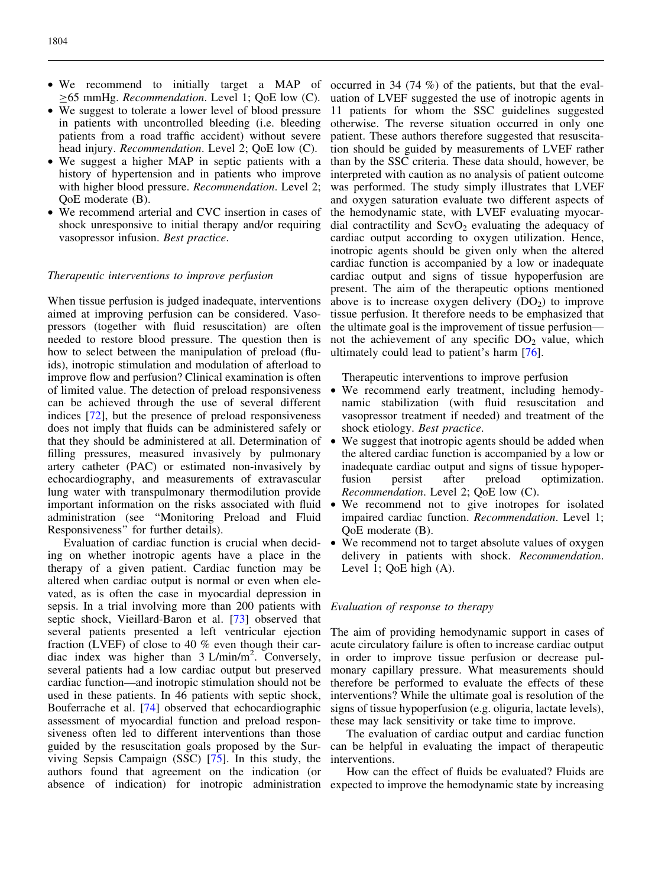- We recommend to initially target a MAP of  $\geq$ 65 mmHg. Recommendation. Level 1; QoE low (C).
- We suggest to tolerate a lower level of blood pressure in patients with uncontrolled bleeding (i.e. bleeding patients from a road traffic accident) without severe head injury. Recommendation. Level 2; QoE low (C).
- We suggest a higher MAP in septic patients with a history of hypertension and in patients who improve with higher blood pressure. Recommendation. Level 2; QoE moderate (B).
- We recommend arterial and CVC insertion in cases of shock unresponsive to initial therapy and/or requiring vasopressor infusion. Best practice.

# Therapeutic interventions to improve perfusion

When tissue perfusion is judged inadequate, interventions aimed at improving perfusion can be considered. Vasopressors (together with fluid resuscitation) are often needed to restore blood pressure. The question then is how to select between the manipulation of preload (fluids), inotropic stimulation and modulation of afterload to improve flow and perfusion? Clinical examination is often of limited value. The detection of preload responsiveness can be achieved through the use of several different indices [[72](#page-18-0)], but the presence of preload responsiveness does not imply that fluids can be administered safely or that they should be administered at all. Determination of filling pressures, measured invasively by pulmonary artery catheter (PAC) or estimated non-invasively by echocardiography, and measurements of extravascular lung water with transpulmonary thermodilution provide important information on the risks associated with fluid administration (see ''Monitoring Preload and Fluid Responsiveness'' for further details).

Evaluation of cardiac function is crucial when deciding on whether inotropic agents have a place in the therapy of a given patient. Cardiac function may be altered when cardiac output is normal or even when elevated, as is often the case in myocardial depression in sepsis. In a trial involving more than 200 patients with septic shock, Vieillard-Baron et al. [\[73\]](#page-18-0) observed that several patients presented a left ventricular ejection fraction (LVEF) of close to 40 % even though their cardiac index was higher than  $3 \text{ L/min/m}^2$ . Conversely, several patients had a low cardiac output but preserved cardiac function—and inotropic stimulation should not be used in these patients. In 46 patients with septic shock, Bouferrache et al. [\[74\]](#page-18-0) observed that echocardiographic assessment of myocardial function and preload responsiveness often led to different interventions than those guided by the resuscitation goals proposed by the Surviving Sepsis Campaign (SSC) [[75](#page-18-0)]. In this study, the authors found that agreement on the indication (or

occurred in 34 (74 %) of the patients, but that the evaluation of LVEF suggested the use of inotropic agents in 11 patients for whom the SSC guidelines suggested otherwise. The reverse situation occurred in only one patient. These authors therefore suggested that resuscitation should be guided by measurements of LVEF rather than by the SSC criteria. These data should, however, be interpreted with caution as no analysis of patient outcome was performed. The study simply illustrates that LVEF and oxygen saturation evaluate two different aspects of the hemodynamic state, with LVEF evaluating myocardial contractility and  $ScvO<sub>2</sub>$  evaluating the adequacy of cardiac output according to oxygen utilization. Hence, inotropic agents should be given only when the altered cardiac function is accompanied by a low or inadequate cardiac output and signs of tissue hypoperfusion are present. The aim of the therapeutic options mentioned above is to increase oxygen delivery  $(DO<sub>2</sub>)$  to improve tissue perfusion. It therefore needs to be emphasized that the ultimate goal is the improvement of tissue perfusion not the achievement of any specific  $DO<sub>2</sub>$  value, which ultimately could lead to patient's harm [[76\]](#page-18-0).

Therapeutic interventions to improve perfusion

- We recommend early treatment, including hemodynamic stabilization (with fluid resuscitation and vasopressor treatment if needed) and treatment of the shock etiology. Best practice.
- We suggest that inotropic agents should be added when the altered cardiac function is accompanied by a low or inadequate cardiac output and signs of tissue hypoperfusion persist after preload optimization. Recommendation. Level 2; QoE low (C).
- We recommend not to give inotropes for isolated impaired cardiac function. Recommendation. Level 1; QoE moderate (B).
- We recommend not to target absolute values of oxygen delivery in patients with shock. Recommendation. Level 1; QoE high (A).

# Evaluation of response to therapy

The aim of providing hemodynamic support in cases of acute circulatory failure is often to increase cardiac output in order to improve tissue perfusion or decrease pulmonary capillary pressure. What measurements should therefore be performed to evaluate the effects of these interventions? While the ultimate goal is resolution of the signs of tissue hypoperfusion (e.g. oliguria, lactate levels), these may lack sensitivity or take time to improve.

The evaluation of cardiac output and cardiac function can be helpful in evaluating the impact of therapeutic interventions.

absence of indication) for inotropic administration expected to improve the hemodynamic state by increasing How can the effect of fluids be evaluated? Fluids are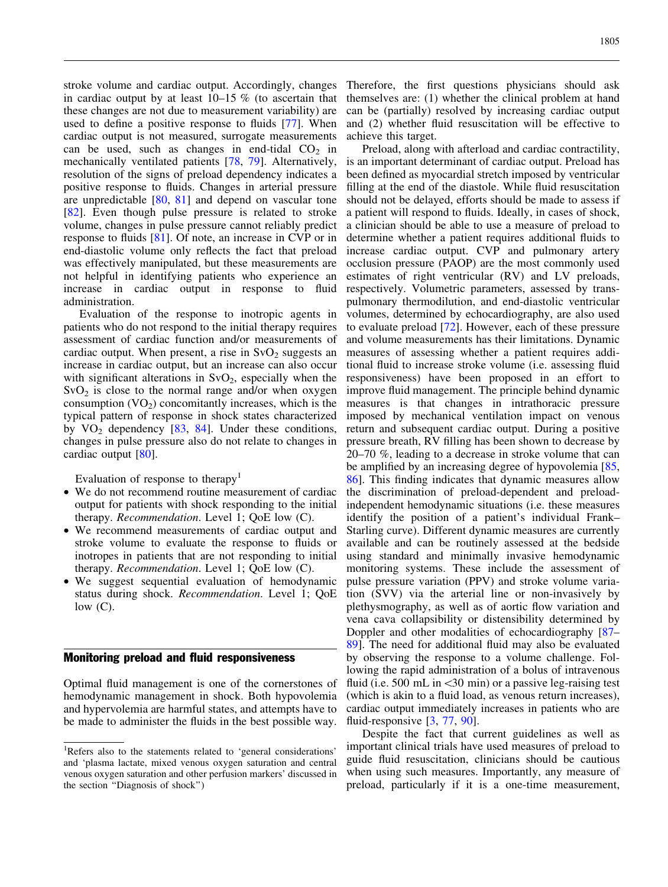stroke volume and cardiac output. Accordingly, changes in cardiac output by at least  $10-15\%$  (to ascertain that these changes are not due to measurement variability) are used to define a positive response to fluids [\[77\]](#page-18-0). When cardiac output is not measured, surrogate measurements can be used, such as changes in end-tidal  $CO<sub>2</sub>$  in mechanically ventilated patients [[78](#page-18-0), [79\]](#page-18-0). Alternatively, resolution of the signs of preload dependency indicates a positive response to fluids. Changes in arterial pressure are unpredictable [[80](#page-18-0), [81\]](#page-18-0) and depend on vascular tone [\[82\]](#page-18-0). Even though pulse pressure is related to stroke volume, changes in pulse pressure cannot reliably predict response to fluids [[81\]](#page-18-0). Of note, an increase in CVP or in end-diastolic volume only reflects the fact that preload was effectively manipulated, but these measurements are not helpful in identifying patients who experience an increase in cardiac output in response to fluid administration.

Evaluation of the response to inotropic agents in patients who do not respond to the initial therapy requires assessment of cardiac function and/or measurements of cardiac output. When present, a rise in  $SvO<sub>2</sub>$  suggests an increase in cardiac output, but an increase can also occur with significant alterations in  $SvO<sub>2</sub>$ , especially when the  $SvO<sub>2</sub>$  is close to the normal range and/or when oxygen consumption  $(VO_2)$  concomitantly increases, which is the typical pattern of response in shock states characterized by  $VO<sub>2</sub>$  dependency [[83](#page-18-0), [84](#page-18-0)]. Under these conditions, changes in pulse pressure also do not relate to changes in cardiac output [\[80\]](#page-18-0).

Evaluation of response to therapy<sup>1</sup>

- We do not recommend routine measurement of cardiac output for patients with shock responding to the initial therapy. Recommendation. Level 1; QoE low (C).
- We recommend measurements of cardiac output and stroke volume to evaluate the response to fluids or inotropes in patients that are not responding to initial therapy. Recommendation. Level 1; QoE low (C).
- We suggest sequential evaluation of hemodynamic status during shock. Recommendation. Level 1; QoE  $low (C)$ .

### Monitoring preload and fluid responsiveness

Optimal fluid management is one of the cornerstones of hemodynamic management in shock. Both hypovolemia and hypervolemia are harmful states, and attempts have to be made to administer the fluids in the best possible way. Therefore, the first questions physicians should ask themselves are: (1) whether the clinical problem at hand can be (partially) resolved by increasing cardiac output and (2) whether fluid resuscitation will be effective to achieve this target.

Preload, along with afterload and cardiac contractility, is an important determinant of cardiac output. Preload has been defined as myocardial stretch imposed by ventricular filling at the end of the diastole. While fluid resuscitation should not be delayed, efforts should be made to assess if a patient will respond to fluids. Ideally, in cases of shock, a clinician should be able to use a measure of preload to determine whether a patient requires additional fluids to increase cardiac output. CVP and pulmonary artery occlusion pressure (PAOP) are the most commonly used estimates of right ventricular (RV) and LV preloads, respectively. Volumetric parameters, assessed by transpulmonary thermodilution, and end-diastolic ventricular volumes, determined by echocardiography, are also used to evaluate preload [\[72](#page-18-0)]. However, each of these pressure and volume measurements has their limitations. Dynamic measures of assessing whether a patient requires additional fluid to increase stroke volume (i.e. assessing fluid responsiveness) have been proposed in an effort to improve fluid management. The principle behind dynamic measures is that changes in intrathoracic pressure imposed by mechanical ventilation impact on venous return and subsequent cardiac output. During a positive pressure breath, RV filling has been shown to decrease by 20–70 %, leading to a decrease in stroke volume that can be amplified by an increasing degree of hypovolemia [[85](#page-18-0), [86](#page-18-0)]. This finding indicates that dynamic measures allow the discrimination of preload-dependent and preloadindependent hemodynamic situations (i.e. these measures identify the position of a patient's individual Frank– Starling curve). Different dynamic measures are currently available and can be routinely assessed at the bedside using standard and minimally invasive hemodynamic monitoring systems. These include the assessment of pulse pressure variation (PPV) and stroke volume variation (SVV) via the arterial line or non-invasively by plethysmography, as well as of aortic flow variation and vena cava collapsibility or distensibility determined by Doppler and other modalities of echocardiography [\[87–](#page-18-0) [89](#page-18-0)]. The need for additional fluid may also be evaluated by observing the response to a volume challenge. Following the rapid administration of a bolus of intravenous fluid (i.e. 500 mL in  $\leq$ 30 min) or a passive leg-raising test (which is akin to a fluid load, as venous return increases), cardiac output immediately increases in patients who are fluid-responsive  $[3, 77, 90]$  $[3, 77, 90]$  $[3, 77, 90]$  $[3, 77, 90]$  $[3, 77, 90]$ .

Despite the fact that current guidelines as well as important clinical trials have used measures of preload to guide fluid resuscitation, clinicians should be cautious when using such measures. Importantly, any measure of preload, particularly if it is a one-time measurement,

<sup>&</sup>lt;sup>1</sup>Refers also to the statements related to 'general considerations' and 'plasma lactate, mixed venous oxygen saturation and central venous oxygen saturation and other perfusion markers' discussed in the section ''Diagnosis of shock'')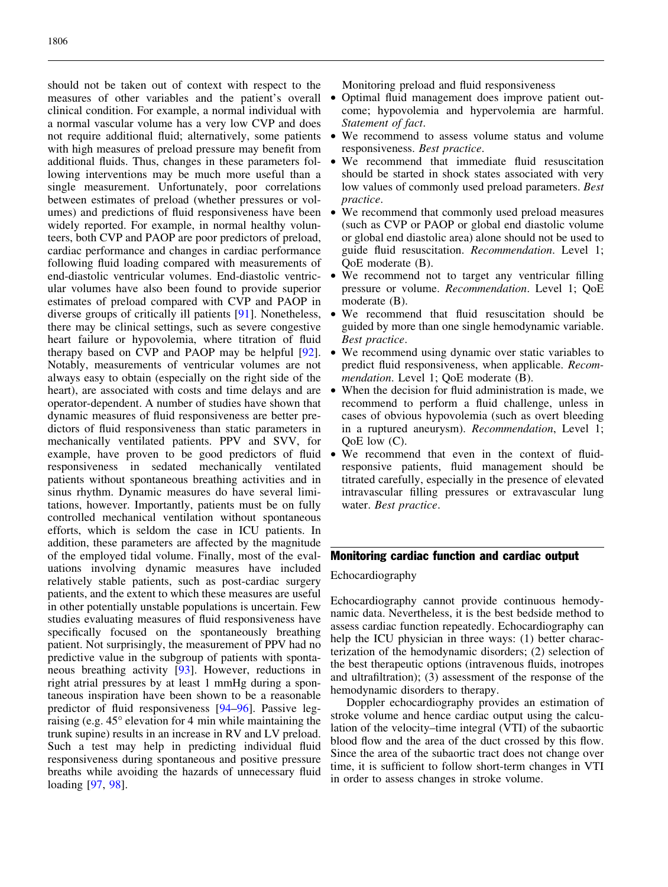should not be taken out of context with respect to the measures of other variables and the patient's overall clinical condition. For example, a normal individual with a normal vascular volume has a very low CVP and does not require additional fluid; alternatively, some patients with high measures of preload pressure may benefit from additional fluids. Thus, changes in these parameters following interventions may be much more useful than a single measurement. Unfortunately, poor correlations between estimates of preload (whether pressures or volumes) and predictions of fluid responsiveness have been widely reported. For example, in normal healthy volunteers, both CVP and PAOP are poor predictors of preload, cardiac performance and changes in cardiac performance following fluid loading compared with measurements of end-diastolic ventricular volumes. End-diastolic ventricular volumes have also been found to provide superior estimates of preload compared with CVP and PAOP in diverse groups of critically ill patients [[91](#page-18-0)]. Nonetheless, there may be clinical settings, such as severe congestive heart failure or hypovolemia, where titration of fluid therapy based on CVP and PAOP may be helpful [[92](#page-19-0)]. Notably, measurements of ventricular volumes are not always easy to obtain (especially on the right side of the heart), are associated with costs and time delays and are operator-dependent. A number of studies have shown that dynamic measures of fluid responsiveness are better predictors of fluid responsiveness than static parameters in mechanically ventilated patients. PPV and SVV, for example, have proven to be good predictors of fluid responsiveness in sedated mechanically ventilated patients without spontaneous breathing activities and in sinus rhythm. Dynamic measures do have several limitations, however. Importantly, patients must be on fully controlled mechanical ventilation without spontaneous efforts, which is seldom the case in ICU patients. In addition, these parameters are affected by the magnitude of the employed tidal volume. Finally, most of the evaluations involving dynamic measures have included relatively stable patients, such as post-cardiac surgery patients, and the extent to which these measures are useful in other potentially unstable populations is uncertain. Few studies evaluating measures of fluid responsiveness have specifically focused on the spontaneously breathing patient. Not surprisingly, the measurement of PPV had no predictive value in the subgroup of patients with spontaneous breathing activity [\[93\]](#page-19-0). However, reductions in right atrial pressures by at least 1 mmHg during a spontaneous inspiration have been shown to be a reasonable predictor of fluid responsiveness [[94–96\]](#page-19-0). Passive legraising (e.g.  $45^{\circ}$  elevation for 4 min while maintaining the trunk supine) results in an increase in RV and LV preload. Such a test may help in predicting individual fluid responsiveness during spontaneous and positive pressure breaths while avoiding the hazards of unnecessary fluid loading [[97](#page-19-0), [98\]](#page-19-0).

Monitoring preload and fluid responsiveness

- Optimal fluid management does improve patient outcome; hypovolemia and hypervolemia are harmful. Statement of fact.
- We recommend to assess volume status and volume responsiveness. Best practice.
- We recommend that immediate fluid resuscitation should be started in shock states associated with very low values of commonly used preload parameters. Best practice.
- We recommend that commonly used preload measures (such as CVP or PAOP or global end diastolic volume or global end diastolic area) alone should not be used to guide fluid resuscitation. Recommendation. Level 1; QoE moderate (B).
- We recommend not to target any ventricular filling pressure or volume. Recommendation. Level 1; QoE moderate (B).
- We recommend that fluid resuscitation should be guided by more than one single hemodynamic variable. Best practice.
- We recommend using dynamic over static variables to predict fluid responsiveness, when applicable. Recommendation. Level 1; QoE moderate (B).
- When the decision for fluid administration is made, we recommend to perform a fluid challenge, unless in cases of obvious hypovolemia (such as overt bleeding in a ruptured aneurysm). Recommendation, Level 1; QoE low (C).
- We recommend that even in the context of fluidresponsive patients, fluid management should be titrated carefully, especially in the presence of elevated intravascular filling pressures or extravascular lung water. Best practice.

## Monitoring cardiac function and cardiac output

# Echocardiography

Echocardiography cannot provide continuous hemodynamic data. Nevertheless, it is the best bedside method to assess cardiac function repeatedly. Echocardiography can help the ICU physician in three ways: (1) better characterization of the hemodynamic disorders; (2) selection of the best therapeutic options (intravenous fluids, inotropes and ultrafiltration); (3) assessment of the response of the hemodynamic disorders to therapy.

Doppler echocardiography provides an estimation of stroke volume and hence cardiac output using the calculation of the velocity–time integral (VTI) of the subaortic blood flow and the area of the duct crossed by this flow. Since the area of the subaortic tract does not change over time, it is sufficient to follow short-term changes in VTI in order to assess changes in stroke volume.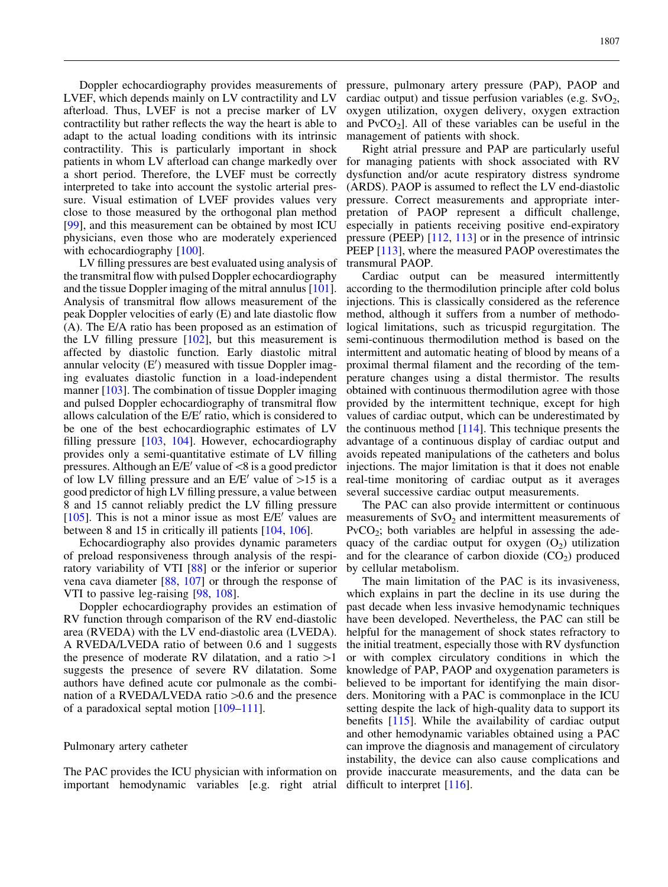Doppler echocardiography provides measurements of LVEF, which depends mainly on LV contractility and LV afterload. Thus, LVEF is not a precise marker of LV contractility but rather reflects the way the heart is able to adapt to the actual loading conditions with its intrinsic contractility. This is particularly important in shock patients in whom LV afterload can change markedly over a short period. Therefore, the LVEF must be correctly interpreted to take into account the systolic arterial pressure. Visual estimation of LVEF provides values very close to those measured by the orthogonal plan method [\[99\]](#page-19-0), and this measurement can be obtained by most ICU physicians, even those who are moderately experienced with echocardiography [[100\]](#page-19-0).

LV filling pressures are best evaluated using analysis of the transmitral flow with pulsed Doppler echocardiography and the tissue Doppler imaging of the mitral annulus [[101](#page-19-0)]. Analysis of transmitral flow allows measurement of the peak Doppler velocities of early (E) and late diastolic flow (A). The E/A ratio has been proposed as an estimation of the LV filling pressure  $[102]$ , but this measurement is affected by diastolic function. Early diastolic mitral annular velocity  $(E')$  measured with tissue Doppler imaging evaluates diastolic function in a load-independent manner [\[103\]](#page-19-0). The combination of tissue Doppler imaging and pulsed Doppler echocardiography of transmitral flow allows calculation of the  $E/E'$  ratio, which is considered to be one of the best echocardiographic estimates of LV filling pressure [[103](#page-19-0), [104\]](#page-19-0). However, echocardiography provides only a semi-quantitative estimate of LV filling pressures. Although an  $E/E'$  value of  $\lt 8$  is a good predictor of low LV filling pressure and an  $E/E'$  value of  $>15$  is a good predictor of high LV filling pressure, a value between 8 and 15 cannot reliably predict the LV filling pressure [ $105$ ]. This is not a minor issue as most  $E/E'$  values are between 8 and 15 in critically ill patients [\[104](#page-19-0), [106](#page-19-0)].

Echocardiography also provides dynamic parameters of preload responsiveness through analysis of the respiratory variability of VTI [[88\]](#page-18-0) or the inferior or superior vena cava diameter [[88](#page-18-0), [107](#page-19-0)] or through the response of VTI to passive leg-raising [\[98,](#page-19-0) [108\]](#page-19-0).

Doppler echocardiography provides an estimation of RV function through comparison of the RV end-diastolic area (RVEDA) with the LV end-diastolic area (LVEDA). A RVEDA/LVEDA ratio of between 0.6 and 1 suggests the presence of moderate RV dilatation, and a ratio  $>1$ suggests the presence of severe RV dilatation. Some authors have defined acute cor pulmonale as the combination of a RVEDA/LVEDA ratio  $>0.6$  and the presence of a paradoxical septal motion [\[109–111\]](#page-19-0).

#### Pulmonary artery catheter

The PAC provides the ICU physician with information on important hemodynamic variables [e.g. right atrial

pressure, pulmonary artery pressure (PAP), PAOP and cardiac output) and tissue perfusion variables (e.g.  $SvO<sub>2</sub>$ , oxygen utilization, oxygen delivery, oxygen extraction and  $PvCO<sub>2</sub>$ ]. All of these variables can be useful in the management of patients with shock.

Right atrial pressure and PAP are particularly useful for managing patients with shock associated with RV dysfunction and/or acute respiratory distress syndrome (ARDS). PAOP is assumed to reflect the LV end-diastolic pressure. Correct measurements and appropriate interpretation of PAOP represent a difficult challenge, especially in patients receiving positive end-expiratory pressure (PEEP) [[112](#page-19-0), [113\]](#page-19-0) or in the presence of intrinsic PEEP [\[113](#page-19-0)], where the measured PAOP overestimates the transmural PAOP.

Cardiac output can be measured intermittently according to the thermodilution principle after cold bolus injections. This is classically considered as the reference method, although it suffers from a number of methodological limitations, such as tricuspid regurgitation. The semi-continuous thermodilution method is based on the intermittent and automatic heating of blood by means of a proximal thermal filament and the recording of the temperature changes using a distal thermistor. The results obtained with continuous thermodilution agree with those provided by the intermittent technique, except for high values of cardiac output, which can be underestimated by the continuous method  $[114]$ . This technique presents the advantage of a continuous display of cardiac output and avoids repeated manipulations of the catheters and bolus injections. The major limitation is that it does not enable real-time monitoring of cardiac output as it averages several successive cardiac output measurements.

The PAC can also provide intermittent or continuous measurements of  $SvO<sub>2</sub>$  and intermittent measurements of  $PvCO<sub>2</sub>$ ; both variables are helpful in assessing the adequacy of the cardiac output for oxygen  $(O_2)$  utilization and for the clearance of carbon dioxide  $(CO<sub>2</sub>)$  produced by cellular metabolism.

The main limitation of the PAC is its invasiveness, which explains in part the decline in its use during the past decade when less invasive hemodynamic techniques have been developed. Nevertheless, the PAC can still be helpful for the management of shock states refractory to the initial treatment, especially those with RV dysfunction or with complex circulatory conditions in which the knowledge of PAP, PAOP and oxygenation parameters is believed to be important for identifying the main disorders. Monitoring with a PAC is commonplace in the ICU setting despite the lack of high-quality data to support its benefits [[115\]](#page-19-0). While the availability of cardiac output and other hemodynamic variables obtained using a PAC can improve the diagnosis and management of circulatory instability, the device can also cause complications and provide inaccurate measurements, and the data can be difficult to interpret [[116\]](#page-19-0).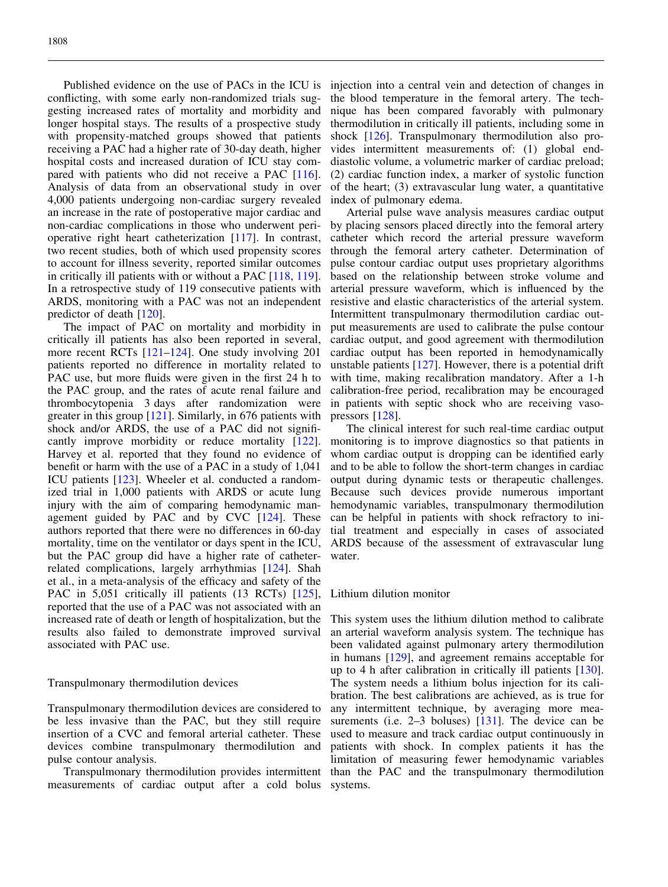Published evidence on the use of PACs in the ICU is conflicting, with some early non-randomized trials suggesting increased rates of mortality and morbidity and longer hospital stays. The results of a prospective study with propensity-matched groups showed that patients receiving a PAC had a higher rate of 30-day death, higher hospital costs and increased duration of ICU stay compared with patients who did not receive a PAC [[116](#page-19-0)]. Analysis of data from an observational study in over 4,000 patients undergoing non-cardiac surgery revealed an increase in the rate of postoperative major cardiac and non-cardiac complications in those who underwent perioperative right heart catheterization [\[117\]](#page-19-0). In contrast, two recent studies, both of which used propensity scores to account for illness severity, reported similar outcomes in critically ill patients with or without a PAC [\[118](#page-19-0), [119](#page-19-0)]. In a retrospective study of 119 consecutive patients with ARDS, monitoring with a PAC was not an independent predictor of death [[120](#page-19-0)].

The impact of PAC on mortality and morbidity in critically ill patients has also been reported in several, more recent RCTs [[121](#page-19-0)[–124](#page-20-0)]. One study involving 201 patients reported no difference in mortality related to PAC use, but more fluids were given in the first 24 h to the PAC group, and the rates of acute renal failure and thrombocytopenia 3 days after randomization were greater in this group [[121\]](#page-19-0). Similarly, in 676 patients with shock and/or ARDS, the use of a PAC did not significantly improve morbidity or reduce mortality [[122](#page-20-0)]. Harvey et al. reported that they found no evidence of benefit or harm with the use of a PAC in a study of 1,041 ICU patients [\[123](#page-20-0)]. Wheeler et al. conducted a randomized trial in 1,000 patients with ARDS or acute lung injury with the aim of comparing hemodynamic management guided by PAC and by CVC [\[124\]](#page-20-0). These authors reported that there were no differences in 60-day mortality, time on the ventilator or days spent in the ICU, but the PAC group did have a higher rate of catheterrelated complications, largely arrhythmias [[124\]](#page-20-0). Shah et al., in a meta-analysis of the efficacy and safety of the PAC in 5,051 critically ill patients (13 RCTs) [[125](#page-20-0)], reported that the use of a PAC was not associated with an increased rate of death or length of hospitalization, but the results also failed to demonstrate improved survival associated with PAC use.

## Transpulmonary thermodilution devices

Transpulmonary thermodilution devices are considered to be less invasive than the PAC, but they still require insertion of a CVC and femoral arterial catheter. These devices combine transpulmonary thermodilution and pulse contour analysis.

Transpulmonary thermodilution provides intermittent measurements of cardiac output after a cold bolus

injection into a central vein and detection of changes in the blood temperature in the femoral artery. The technique has been compared favorably with pulmonary thermodilution in critically ill patients, including some in shock [\[126](#page-20-0)]. Transpulmonary thermodilution also provides intermittent measurements of: (1) global enddiastolic volume, a volumetric marker of cardiac preload; (2) cardiac function index, a marker of systolic function of the heart; (3) extravascular lung water, a quantitative index of pulmonary edema.

Arterial pulse wave analysis measures cardiac output by placing sensors placed directly into the femoral artery catheter which record the arterial pressure waveform through the femoral artery catheter. Determination of pulse contour cardiac output uses proprietary algorithms based on the relationship between stroke volume and arterial pressure waveform, which is influenced by the resistive and elastic characteristics of the arterial system. Intermittent transpulmonary thermodilution cardiac output measurements are used to calibrate the pulse contour cardiac output, and good agreement with thermodilution cardiac output has been reported in hemodynamically unstable patients [[127](#page-20-0)]. However, there is a potential drift with time, making recalibration mandatory. After a 1-h calibration-free period, recalibration may be encouraged in patients with septic shock who are receiving vasopressors [[128\]](#page-20-0).

The clinical interest for such real-time cardiac output monitoring is to improve diagnostics so that patients in whom cardiac output is dropping can be identified early and to be able to follow the short-term changes in cardiac output during dynamic tests or therapeutic challenges. Because such devices provide numerous important hemodynamic variables, transpulmonary thermodilution can be helpful in patients with shock refractory to initial treatment and especially in cases of associated ARDS because of the assessment of extravascular lung water

## Lithium dilution monitor

This system uses the lithium dilution method to calibrate an arterial waveform analysis system. The technique has been validated against pulmonary artery thermodilution in humans [\[129](#page-20-0)], and agreement remains acceptable for up to 4 h after calibration in critically ill patients [[130\]](#page-20-0). The system needs a lithium bolus injection for its calibration. The best calibrations are achieved, as is true for any intermittent technique, by averaging more mea-surements (i.e. 2–3 boluses) [\[131\]](#page-20-0). The device can be used to measure and track cardiac output continuously in patients with shock. In complex patients it has the limitation of measuring fewer hemodynamic variables than the PAC and the transpulmonary thermodilution systems.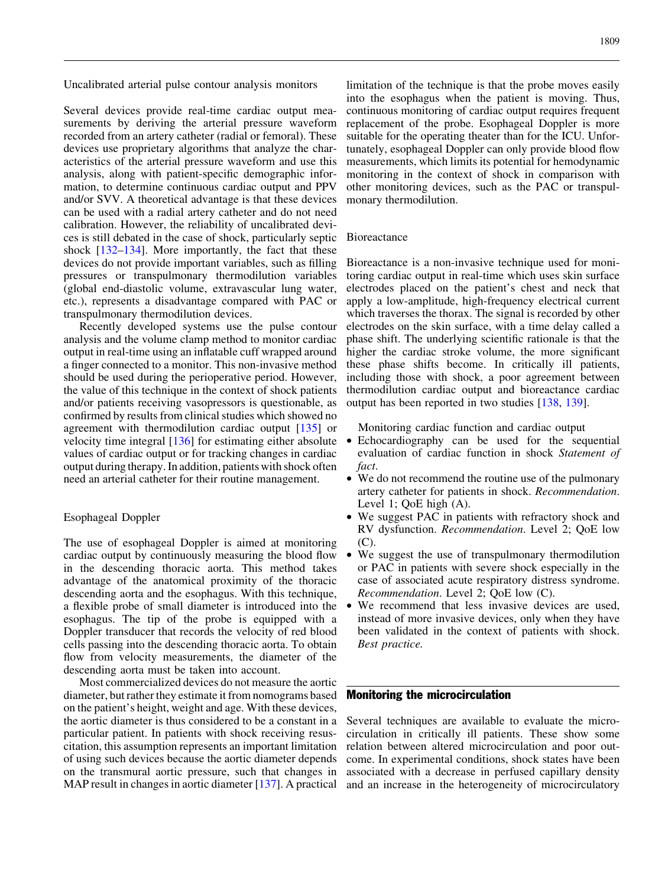Uncalibrated arterial pulse contour analysis monitors

Several devices provide real-time cardiac output measurements by deriving the arterial pressure waveform recorded from an artery catheter (radial or femoral). These devices use proprietary algorithms that analyze the characteristics of the arterial pressure waveform and use this analysis, along with patient-specific demographic information, to determine continuous cardiac output and PPV and/or SVV. A theoretical advantage is that these devices can be used with a radial artery catheter and do not need calibration. However, the reliability of uncalibrated devices is still debated in the case of shock, particularly septic shock [\[132–134\]](#page-20-0). More importantly, the fact that these devices do not provide important variables, such as filling pressures or transpulmonary thermodilution variables (global end-diastolic volume, extravascular lung water, etc.), represents a disadvantage compared with PAC or transpulmonary thermodilution devices.

Recently developed systems use the pulse contour analysis and the volume clamp method to monitor cardiac output in real-time using an inflatable cuff wrapped around a finger connected to a monitor. This non-invasive method should be used during the perioperative period. However, the value of this technique in the context of shock patients and/or patients receiving vasopressors is questionable, as confirmed by results from clinical studies which showed no agreement with thermodilution cardiac output [[135](#page-20-0)] or velocity time integral [\[136\]](#page-20-0) for estimating either absolute values of cardiac output or for tracking changes in cardiac output during therapy. In addition, patients with shock often need an arterial catheter for their routine management.

#### Esophageal Doppler

The use of esophageal Doppler is aimed at monitoring cardiac output by continuously measuring the blood flow in the descending thoracic aorta. This method takes advantage of the anatomical proximity of the thoracic descending aorta and the esophagus. With this technique, a flexible probe of small diameter is introduced into the esophagus. The tip of the probe is equipped with a Doppler transducer that records the velocity of red blood cells passing into the descending thoracic aorta. To obtain flow from velocity measurements, the diameter of the descending aorta must be taken into account.

Most commercialized devices do not measure the aortic diameter, but rather they estimate it from nomograms based on the patient's height, weight and age. With these devices, the aortic diameter is thus considered to be a constant in a particular patient. In patients with shock receiving resuscitation, this assumption represents an important limitation of using such devices because the aortic diameter depends on the transmural aortic pressure, such that changes in MAP result in changes in aortic diameter [[137\]](#page-20-0). A practical

limitation of the technique is that the probe moves easily into the esophagus when the patient is moving. Thus, continuous monitoring of cardiac output requires frequent replacement of the probe. Esophageal Doppler is more suitable for the operating theater than for the ICU. Unfortunately, esophageal Doppler can only provide blood flow measurements, which limits its potential for hemodynamic monitoring in the context of shock in comparison with other monitoring devices, such as the PAC or transpulmonary thermodilution.

#### **Bioreactance**

Bioreactance is a non-invasive technique used for monitoring cardiac output in real-time which uses skin surface electrodes placed on the patient's chest and neck that apply a low-amplitude, high-frequency electrical current which traverses the thorax. The signal is recorded by other electrodes on the skin surface, with a time delay called a phase shift. The underlying scientific rationale is that the higher the cardiac stroke volume, the more significant these phase shifts become. In critically ill patients, including those with shock, a poor agreement between thermodilution cardiac output and bioreactance cardiac output has been reported in two studies [[138](#page-20-0), [139\]](#page-20-0).

Monitoring cardiac function and cardiac output

- Echocardiography can be used for the sequential evaluation of cardiac function in shock Statement of fact.
- We do not recommend the routine use of the pulmonary artery catheter for patients in shock. Recommendation. Level 1; QoE high (A).
- We suggest PAC in patients with refractory shock and RV dysfunction. Recommendation. Level 2; QoE low (C).
- We suggest the use of transpulmonary thermodilution or PAC in patients with severe shock especially in the case of associated acute respiratory distress syndrome. Recommendation. Level 2; QoE low (C).
- We recommend that less invasive devices are used, instead of more invasive devices, only when they have been validated in the context of patients with shock. Best practice.

#### Monitoring the microcirculation

Several techniques are available to evaluate the microcirculation in critically ill patients. These show some relation between altered microcirculation and poor outcome. In experimental conditions, shock states have been associated with a decrease in perfused capillary density and an increase in the heterogeneity of microcirculatory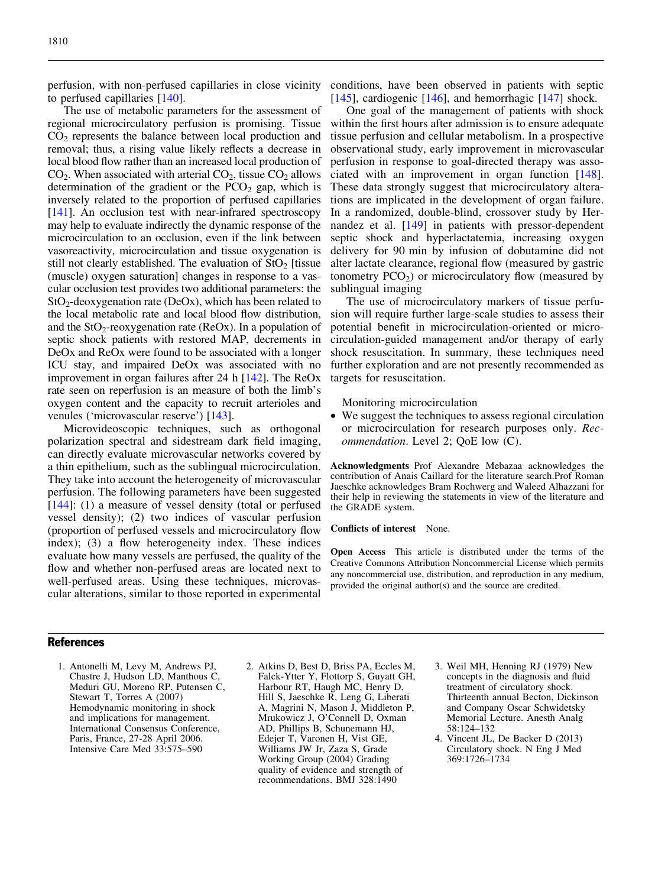<span id="page-15-0"></span>perfusion, with non-perfused capillaries in close vicinity to perfused capillaries [[140\]](#page-20-0).

The use of metabolic parameters for the assessment of regional microcirculatory perfusion is promising. Tissue  $CO<sub>2</sub>$  represents the balance between local production and removal; thus, a rising value likely reflects a decrease in local blood flow rather than an increased local production of  $CO<sub>2</sub>$ . When associated with arterial  $CO<sub>2</sub>$ , tissue  $CO<sub>2</sub>$  allows determination of the gradient or the  $PCO<sub>2</sub>$  gap, which is inversely related to the proportion of perfused capillaries [\[141](#page-20-0)]. An occlusion test with near-infrared spectroscopy may help to evaluate indirectly the dynamic response of the microcirculation to an occlusion, even if the link between vasoreactivity, microcirculation and tissue oxygenation is still not clearly established. The evaluation of  $StO<sub>2</sub>$  [tissue (muscle) oxygen saturation] changes in response to a vascular occlusion test provides two additional parameters: the  $StO<sub>2</sub>$ -deoxygenation rate (DeOx), which has been related to the local metabolic rate and local blood flow distribution, and the  $StO<sub>2</sub>$ -reoxygenation rate (ReOx). In a population of septic shock patients with restored MAP, decrements in DeOx and ReOx were found to be associated with a longer ICU stay, and impaired DeOx was associated with no improvement in organ failures after 24 h [[142](#page-20-0)]. The ReOx rate seen on reperfusion is an measure of both the limb's oxygen content and the capacity to recruit arterioles and venules ('microvascular reserve') [[143](#page-20-0)].

Microvideoscopic techniques, such as orthogonal polarization spectral and sidestream dark field imaging, can directly evaluate microvascular networks covered by a thin epithelium, such as the sublingual microcirculation. They take into account the heterogeneity of microvascular perfusion. The following parameters have been suggested [\[144\]](#page-20-0): (1) a measure of vessel density (total or perfused vessel density); (2) two indices of vascular perfusion (proportion of perfused vessels and microcirculatory flow index); (3) a flow heterogeneity index. These indices evaluate how many vessels are perfused, the quality of the flow and whether non-perfused areas are located next to well-perfused areas. Using these techniques, microvascular alterations, similar to those reported in experimental

conditions, have been observed in patients with septic [\[145\]](#page-20-0), cardiogenic  $[146]$  $[146]$  $[146]$ , and hemorrhagic  $[147]$  $[147]$  shock.

One goal of the management of patients with shock within the first hours after admission is to ensure adequate tissue perfusion and cellular metabolism. In a prospective observational study, early improvement in microvascular perfusion in response to goal-directed therapy was associated with an improvement in organ function [[148](#page-20-0)]. These data strongly suggest that microcirculatory alterations are implicated in the development of organ failure. In a randomized, double-blind, crossover study by Hernandez et al. [[149\]](#page-20-0) in patients with pressor-dependent septic shock and hyperlactatemia, increasing oxygen delivery for 90 min by infusion of dobutamine did not alter lactate clearance, regional flow (measured by gastric tonometry  $PCO<sub>2</sub>$ ) or microcirculatory flow (measured by sublingual imaging

The use of microcirculatory markers of tissue perfusion will require further large-scale studies to assess their potential benefit in microcirculation-oriented or microcirculation-guided management and/or therapy of early shock resuscitation. In summary, these techniques need further exploration and are not presently recommended as targets for resuscitation.

Monitoring microcirculation

• We suggest the techniques to assess regional circulation or microcirculation for research purposes only. Recommendation. Level 2; QoE low (C).

Acknowledgments Prof Alexandre Mebazaa acknowledges the contribution of Anais Caillard for the literature search.Prof Roman Jaeschke acknowledges Bram Rochwerg and Waleed Alhazzani for their help in reviewing the statements in view of the literature and the GRADE system.

#### Conflicts of interest None.

Open Access This article is distributed under the terms of the Creative Commons Attribution Noncommercial License which permits any noncommercial use, distribution, and reproduction in any medium, provided the original author(s) and the source are credited.

# **References**

- 1. Antonelli M, Levy M, Andrews PJ, Chastre J, Hudson LD, Manthous C, Meduri GU, Moreno RP, Putensen C, Stewart T, Torres A (2007) Hemodynamic monitoring in shock and implications for management. International Consensus Conference, Paris, France, 27-28 April 2006. Intensive Care Med 33:575–590
- 2. Atkins D, Best D, Briss PA, Eccles M, Falck-Ytter Y, Flottorp S, Guyatt GH, Harbour RT, Haugh MC, Henry D, Hill S, Jaeschke R, Leng G, Liberati A, Magrini N, Mason J, Middleton P, Mrukowicz J, O'Connell D, Oxman AD, Phillips B, Schunemann HJ, Edejer T, Varonen H, Vist GE, Williams JW Jr, Zaza S, Grade Working Group (2004) Grading quality of evidence and strength of recommendations. BMJ 328:1490
- 3. Weil MH, Henning RJ (1979) New concepts in the diagnosis and fluid treatment of circulatory shock. Thirteenth annual Becton, Dickinson and Company Oscar Schwidetsky Memorial Lecture. Anesth Analg 58:124–132
- 4. Vincent JL, De Backer D (2013) Circulatory shock. N Eng J Med 369:1726–1734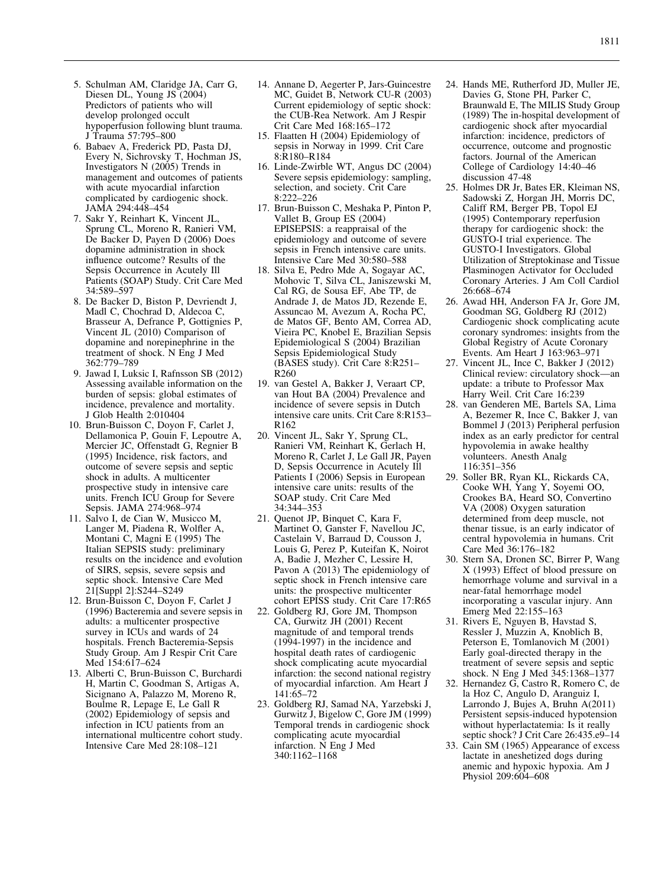- <span id="page-16-0"></span>5. Schulman AM, Claridge JA, Carr G, Diesen DL, Young JS (2004) Predictors of patients who will develop prolonged occult hypoperfusion following blunt trauma. J Trauma 57:795–800
- 6. Babaev A, Frederick PD, Pasta DJ, Every N, Sichrovsky T, Hochman JS, Investigators N (2005) Trends in management and outcomes of patients with acute myocardial infarction complicated by cardiogenic shock. JAMA 294:448–454
- 7. Sakr Y, Reinhart K, Vincent JL, Sprung CL, Moreno R, Ranieri VM, De Backer D, Payen D (2006) Does dopamine administration in shock influence outcome? Results of the Sepsis Occurrence in Acutely Ill Patients (SOAP) Study. Crit Care Med 34:589–597
- 8. De Backer D, Biston P, Devriendt J, Madl C, Chochrad D, Aldecoa C, Brasseur A, Defrance P, Gottignies P, Vincent JL (2010) Comparison of dopamine and norepinephrine in the treatment of shock. N Eng J Med 362:779–789
- 9. Jawad I, Luksic I, Rafnsson SB (2012) Assessing available information on the burden of sepsis: global estimates of incidence, prevalence and mortality. J Glob Health 2:010404
- 10. Brun-Buisson C, Doyon F, Carlet J, Dellamonica P, Gouin F, Lepoutre A, Mercier JC, Offenstadt G, Regnier B (1995) Incidence, risk factors, and outcome of severe sepsis and septic shock in adults. A multicenter prospective study in intensive care units. French ICU Group for Severe Sepsis. JAMA 274:968–974
- 11. Salvo I, de Cian W, Musicco M, Langer M, Piadena R, Wolfler A, Montani C, Magni E (1995) The Italian SEPSIS study: preliminary results on the incidence and evolution of SIRS, sepsis, severe sepsis and septic shock. Intensive Care Med 21[Suppl 2]:S244–S249
- 12. Brun-Buisson C, Doyon F, Carlet J (1996) Bacteremia and severe sepsis in adults: a multicenter prospective survey in ICUs and wards of 24 hospitals. French Bacteremia-Sepsis Study Group. Am J Respir Crit Care Med 154:617–624
- 13. Alberti C, Brun-Buisson C, Burchardi H, Martin C, Goodman S, Artigas A, Sicignano A, Palazzo M, Moreno R, Boulme R, Lepage E, Le Gall R (2002) Epidemiology of sepsis and infection in ICU patients from an international multicentre cohort study. Intensive Care Med 28:108–121
- 14. Annane D, Aegerter P, Jars-Guincestre MC, Guidet B, Network CU-R (2003) Current epidemiology of septic shock: the CUB-Rea Network. Am J Respir Crit Care Med 168:165–172
- 15. Flaatten H (2004) Epidemiology of sepsis in Norway in 1999. Crit Care 8:R180–R184
- 16. Linde-Zwirble WT, Angus DC (2004) Severe sepsis epidemiology: sampling, selection, and society. Crit Care 8:222–226
- 17. Brun-Buisson C, Meshaka P, Pinton P, Vallet B, Group ES (2004) EPISEPSIS: a reappraisal of the epidemiology and outcome of severe sepsis in French intensive care units. Intensive Care Med 30:580–588
- 18. Silva E, Pedro Mde A, Sogayar AC, Mohovic T, Silva CL, Janiszewski M, Cal RG, de Sousa EF, Abe TP, de Andrade J, de Matos JD, Rezende E, Assuncao M, Avezum A, Rocha PC, de Matos GF, Bento AM, Correa AD, Vieira PC, Knobel E, Brazilian Sepsis Epidemiological S (2004) Brazilian Sepsis Epidemiological Study (BASES study). Crit Care 8:R251– R260
- 19. van Gestel A, Bakker J, Veraart CP, van Hout BA (2004) Prevalence and incidence of severe sepsis in Dutch intensive care units. Crit Care 8:R153– R162
- 20. Vincent JL, Sakr Y, Sprung CL, Ranieri VM, Reinhart K, Gerlach H, Moreno R, Carlet J, Le Gall JR, Payen D, Sepsis Occurrence in Acutely Ill Patients I (2006) Sepsis in European intensive care units: results of the SOAP study. Crit Care Med 34:344–353
- 21. Quenot JP, Binquet C, Kara F, Martinet O, Ganster F, Navellou JC, Castelain V, Barraud D, Cousson J, Louis G, Perez P, Kuteifan K, Noirot A, Badie J, Mezher C, Lessire H, Pavon A (2013) The epidemiology of septic shock in French intensive care units: the prospective multicenter cohort EPISS study. Crit Care 17:R65
- 22. Goldberg RJ, Gore JM, Thompson CA, Gurwitz JH (2001) Recent magnitude of and temporal trends (1994-1997) in the incidence and hospital death rates of cardiogenic shock complicating acute myocardial infarction: the second national registry of myocardial infarction. Am Heart J 141:65–72
- 23. Goldberg RJ, Samad NA, Yarzebski J, Gurwitz J, Bigelow C, Gore JM (1999) Temporal trends in cardiogenic shock complicating acute myocardial infarction. N Eng J Med 340:1162–1168
- 24. Hands ME, Rutherford JD, Muller JE, Davies G, Stone PH, Parker C, Braunwald E, The MILIS Study Group (1989) The in-hospital development of cardiogenic shock after myocardial infarction: incidence, predictors of occurrence, outcome and prognostic factors. Journal of the American College of Cardiology 14:40–46 discussion 47-48
- 25. Holmes DR Jr, Bates ER, Kleiman NS, Sadowski Z, Horgan JH, Morris DC, Califf RM, Berger PB, Topol EJ (1995) Contemporary reperfusion therapy for cardiogenic shock: the GUSTO-I trial experience. The GUSTO-I Investigators. Global Utilization of Streptokinase and Tissue Plasminogen Activator for Occluded Coronary Arteries. J Am Coll Cardiol 26:668–674
- 26. Awad HH, Anderson FA Jr, Gore JM, Goodman SG, Goldberg RJ (2012) Cardiogenic shock complicating acute coronary syndromes: insights from the Global Registry of Acute Coronary Events. Am Heart J 163:963–971
- 27. Vincent JL, Ince C, Bakker J (2012) Clinical review: circulatory shock—an update: a tribute to Professor Max Harry Weil. Crit Care 16:239
- 28. van Genderen ME, Bartels SA, Lima A, Bezemer R, Ince C, Bakker J, van Bommel J (2013) Peripheral perfusion index as an early predictor for central hypovolemia in awake healthy volunteers. Anesth Analg 116:351–356
- 29. Soller BR, Ryan KL, Rickards CA, Cooke WH, Yang Y, Soyemi OO, Crookes BA, Heard SO, Convertino VA (2008) Oxygen saturation determined from deep muscle, not thenar tissue, is an early indicator of central hypovolemia in humans. Crit Care Med 36:176–182
- 30. Stern SA, Dronen SC, Birrer P, Wang X (1993) Effect of blood pressure on hemorrhage volume and survival in a near-fatal hemorrhage model incorporating a vascular injury. Ann Emerg Med 22:155–163
- 31. Rivers E, Nguyen B, Havstad S, Ressler J, Muzzin A, Knoblich B, Peterson E, Tomlanovich M (2001) Early goal-directed therapy in the treatment of severe sepsis and septic shock. N Eng J Med 345:1368–1377
- 32. Hernandez G, Castro R, Romero C, de la Hoz C, Angulo D, Aranguiz I, Larrondo J, Bujes A, Bruhn A(2011) Persistent sepsis-induced hypotension without hyperlactatemia: Is it really septic shock? J Crit Care 26:435.e9–14
- 33. Cain SM (1965) Appearance of excess lactate in aneshetized dogs during anemic and hypoxic hypoxia. Am J Physiol 209:604–608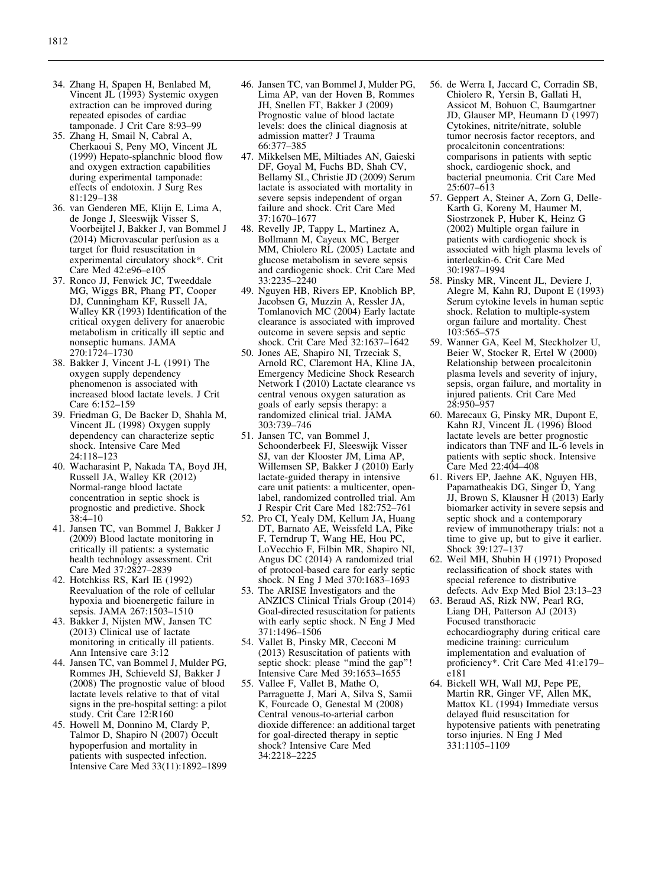- <span id="page-17-0"></span>34. Zhang H, Spapen H, Benlabed M, Vincent JL (1993) Systemic oxygen extraction can be improved during repeated episodes of cardiac tamponade. J Crit Care 8:93–99
- 35. Zhang H, Smail N, Cabral A, Cherkaoui S, Peny MO, Vincent JL (1999) Hepato-splanchnic blood flow and oxygen extraction capabilities during experimental tamponade: effects of endotoxin. J Surg Res 81:129–138
- 36. van Genderen ME, Klijn E, Lima A, de Jonge J, Sleeswijk Visser S, Voorbeijtel J, Bakker J, van Bommel J (2014) Microvascular perfusion as a target for fluid resuscitation in experimental circulatory shock\*. Crit Care Med 42:e96–e105
- 37. Ronco JJ, Fenwick JC, Tweeddale MG, Wiggs BR, Phang PT, Cooper DJ, Cunningham KF, Russell JA, Walley KR (1993) Identification of the critical oxygen delivery for anaerobic metabolism in critically ill septic and nonseptic humans. JAMA 270:1724–1730
- 38. Bakker J, Vincent J-L (1991) The oxygen supply dependency phenomenon is associated with increased blood lactate levels. J Crit Care 6:152–159
- 39. Friedman G, De Backer D, Shahla M, Vincent JL (1998) Oxygen supply dependency can characterize septic shock. Intensive Care Med 24:118–123
- 40. Wacharasint P, Nakada TA, Boyd JH, Russell JA, Walley KR (2012) Normal-range blood lactate concentration in septic shock is prognostic and predictive. Shock  $38.4 - 10$
- 41. Jansen TC, van Bommel J, Bakker J (2009) Blood lactate monitoring in critically ill patients: a systematic health technology assessment. Crit Care Med 37:2827–2839
- 42. Hotchkiss RS, Karl IE (1992) Reevaluation of the role of cellular hypoxia and bioenergetic failure in sepsis. JAMA 267:1503–1510
- 43. Bakker J, Nijsten MW, Jansen TC (2013) Clinical use of lactate monitoring in critically ill patients. Ann Intensive care 3:12
- 44. Jansen TC, van Bommel J, Mulder PG, Rommes JH, Schieveld SJ, Bakker J (2008) The prognostic value of blood lactate levels relative to that of vital signs in the pre-hospital setting: a pilot study. Crit Care 12:R160
- 45. Howell M, Donnino M, Clardy P, Talmor D, Shapiro N (2007) Occult hypoperfusion and mortality in patients with suspected infection. Intensive Care Med 33(11):1892–1899
- 46. Jansen TC, van Bommel J, Mulder PG, Lima AP, van der Hoven B, Rommes JH, Snellen FT, Bakker J (2009) Prognostic value of blood lactate levels: does the clinical diagnosis at admission matter? J Trauma 66:377–385
- 47. Mikkelsen ME, Miltiades AN, Gaieski DF, Goyal M, Fuchs BD, Shah CV, Bellamy SL, Christie JD (2009) Serum lactate is associated with mortality in severe sepsis independent of organ failure and shock. Crit Care Med 37:1670–1677
- 48. Revelly JP, Tappy L, Martinez A, Bollmann M, Cayeux MC, Berger MM, Chiolero RL (2005) Lactate and glucose metabolism in severe sepsis and cardiogenic shock. Crit Care Med 33:2235–2240
- 49. Nguyen HB, Rivers EP, Knoblich BP, Jacobsen G, Muzzin A, Ressler JA, Tomlanovich MC (2004) Early lactate clearance is associated with improved outcome in severe sepsis and septic shock. Crit Care Med 32:1637–1642
- 50. Jones AE, Shapiro NI, Trzeciak S, Arnold RC, Claremont HA, Kline JA, Emergency Medicine Shock Research Network I (2010) Lactate clearance vs central venous oxygen saturation as goals of early sepsis therapy: a randomized clinical trial. JAMA 303:739–746
- 51. Jansen TC, van Bommel J, Schoonderbeek FJ, Sleeswijk Visser SJ, van der Klooster JM, Lima AP, Willemsen SP, Bakker J (2010) Early lactate-guided therapy in intensive care unit patients: a multicenter, openlabel, randomized controlled trial. Am J Respir Crit Care Med 182:752–761
- 52. Pro CI, Yealy DM, Kellum JA, Huang DT, Barnato AE, Weissfeld LA, Pike F, Terndrup T, Wang HE, Hou PC, LoVecchio F, Filbin MR, Shapiro NI, Angus DC (2014) A randomized trial of protocol-based care for early septic shock. N Eng J Med 370:1683–1693
- 53. The ARISE Investigators and the ANZICS Clinical Trials Group (2014) Goal-directed resuscitation for patients with early septic shock. N Eng J Med 371:1496–1506
- 54. Vallet B, Pinsky MR, Cecconi M (2013) Resuscitation of patients with septic shock: please "mind the gap"! Intensive Care Med 39:1653–1655
- 55. Vallee F, Vallet B, Mathe O, Parraguette J, Mari A, Silva S, Samii K, Fourcade O, Genestal M (2008) Central venous-to-arterial carbon dioxide difference: an additional target for goal-directed therapy in septic shock? Intensive Care Med 34:2218–2225
- 56. de Werra I, Jaccard C, Corradin SB, Chiolero R, Yersin B, Gallati H, Assicot M, Bohuon C, Baumgartner JD, Glauser MP, Heumann D (1997) Cytokines, nitrite/nitrate, soluble tumor necrosis factor receptors, and procalcitonin concentrations: comparisons in patients with septic shock, cardiogenic shock, and bacterial pneumonia. Crit Care Med 25:607–613
- 57. Geppert A, Steiner A, Zorn G, Delle-Karth G, Koreny M, Haumer M, Siostrzonek P, Huber K, Heinz G (2002) Multiple organ failure in patients with cardiogenic shock is associated with high plasma levels of interleukin-6. Crit Care Med 30:1987–1994
- 58. Pinsky MR, Vincent JL, Deviere J, Alegre M, Kahn RJ, Dupont E (1993) Serum cytokine levels in human septic shock. Relation to multiple-system organ failure and mortality. Chest 103:565–575
- 59. Wanner GA, Keel M, Steckholzer U, Beier W, Stocker R, Ertel W (2000) Relationship between procalcitonin plasma levels and severity of injury, sepsis, organ failure, and mortality in injured patients. Crit Care Med 28:950–957
- 60. Marecaux G, Pinsky MR, Dupont E, Kahn RJ, Vincent JL (1996) Blood lactate levels are better prognostic indicators than TNF and IL-6 levels in patients with septic shock. Intensive Care Med 22:404–408
- 61. Rivers EP, Jaehne AK, Nguyen HB, Papamatheakis DG, Singer D, Yang JJ, Brown S, Klausner H (2013) Early biomarker activity in severe sepsis and septic shock and a contemporary review of immunotherapy trials: not a time to give up, but to give it earlier. Shock 39:127–137
- 62. Weil MH, Shubin H (1971) Proposed reclassification of shock states with special reference to distributive defects. Adv Exp Med Biol 23:13–23
- 63. Beraud AS, Rizk NW, Pearl RG, Liang DH, Patterson AJ (2013) Focused transthoracic echocardiography during critical care medicine training: curriculum implementation and evaluation of proficiency\*. Crit Care Med 41:e179– e181
- 64. Bickell WH, Wall MJ, Pepe PE, Martin RR, Ginger VF, Allen MK, Mattox KL (1994) Immediate versus delayed fluid resuscitation for hypotensive patients with penetrating torso injuries. N Eng J Med 331:1105–1109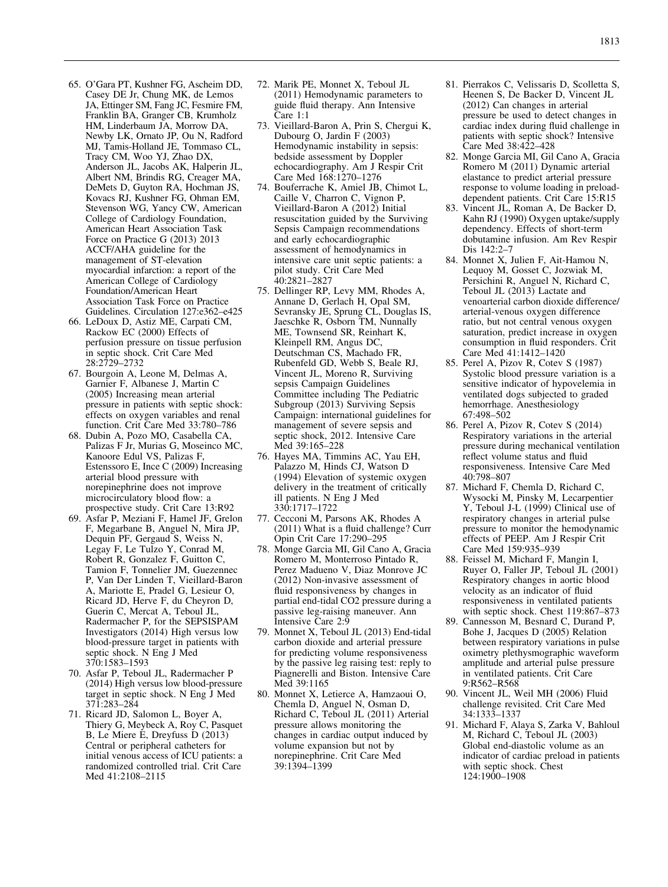- <span id="page-18-0"></span>65. O'Gara PT, Kushner FG, Ascheim DD, Casey DE Jr, Chung MK, de Lemos JA, Ettinger SM, Fang JC, Fesmire FM, Franklin BA, Granger CB, Krumholz HM, Linderbaum JA, Morrow DA, Newby LK, Ornato JP, Ou N, Radford MJ, Tamis-Holland JE, Tommaso CL, Tracy CM, Woo YJ, Zhao DX, Anderson JL, Jacobs AK, Halperin JL, Albert NM, Brindis RG, Creager MA, DeMets D, Guyton RA, Hochman JS, Kovacs RJ, Kushner FG, Ohman EM, Stevenson WG, Yancy CW, American College of Cardiology Foundation, American Heart Association Task Force on Practice G (2013) 2013 ACCF/AHA guideline for the management of ST-elevation myocardial infarction: a report of the American College of Cardiology Foundation/American Heart Association Task Force on Practice Guidelines. Circulation 127:e362–e425
- 66. LeDoux D, Astiz ME, Carpati CM, Rackow EC (2000) Effects of perfusion pressure on tissue perfusion in septic shock. Crit Care Med 28:2729–2732
- 67. Bourgoin A, Leone M, Delmas A, Garnier F, Albanese J, Martin C (2005) Increasing mean arterial pressure in patients with septic shock: effects on oxygen variables and renal function. Crit Care Med 33:780–786
- 68. Dubin A, Pozo MO, Casabella CA, Palizas F Jr, Murias G, Moseinco MC, Kanoore Edul VS, Palizas F, Estenssoro E, Ince C (2009) Increasing arterial blood pressure with norepinephrine does not improve microcirculatory blood flow: a prospective study. Crit Care 13:R92
- 69. Asfar P, Meziani F, Hamel JF, Grelon F, Megarbane B, Anguel N, Mira JP, Dequin PF, Gergaud S, Weiss N, Legay F, Le Tulzo Y, Conrad M, Robert R, Gonzalez F, Guitton C, Tamion F, Tonnelier JM, Guezennec P, Van Der Linden T, Vieillard-Baron A, Mariotte E, Pradel G, Lesieur O, Ricard JD, Herve F, du Cheyron D, Guerin C, Mercat A, Teboul JL, Radermacher P, for the SEPSISPAM Investigators (2014) High versus low blood-pressure target in patients with septic shock. N Eng J Med 370:1583–1593
- 70. Asfar P, Teboul JL, Radermacher P (2014) High versus low blood-pressure target in septic shock. N Eng J Med 371:283–284
- 71. Ricard JD, Salomon L, Boyer A, Thiery G, Meybeck A, Roy C, Pasquet B, Le Miere E, Dreyfuss D (2013) Central or peripheral catheters for initial venous access of ICU patients: a randomized controlled trial. Crit Care Med 41:2108–2115
- 72. Marik PE, Monnet X, Teboul JL (2011) Hemodynamic parameters to guide fluid therapy. Ann Intensive Care 1:1
- 73. Vieillard-Baron A, Prin S, Chergui K, Dubourg O, Jardin F (2003) Hemodynamic instability in sepsis: bedside assessment by Doppler echocardiography. Am J Respir Crit Care Med 168:1270–1276
- 74. Bouferrache K, Amiel JB, Chimot L, Caille V, Charron C, Vignon P, Vieillard-Baron A (2012) Initial resuscitation guided by the Surviving Sepsis Campaign recommendations and early echocardiographic assessment of hemodynamics in intensive care unit septic patients: a pilot study. Crit Care Med 40:2821–2827
- 75. Dellinger RP, Levy MM, Rhodes A, Annane D, Gerlach H, Opal SM, Sevransky JE, Sprung CL, Douglas IS, Jaeschke R, Osborn TM, Nunnally ME, Townsend SR, Reinhart K, Kleinpell RM, Angus DC, Deutschman CS, Machado FR, Rubenfeld GD, Webb S, Beale RJ, Vincent JL, Moreno R, Surviving sepsis Campaign Guidelines Committee including The Pediatric Subgroup (2013) Surviving Sepsis Campaign: international guidelines for management of severe sepsis and septic shock, 2012. Intensive Care Med 39:165–228
- 76. Hayes MA, Timmins AC, Yau EH, Palazzo M, Hinds CJ, Watson D (1994) Elevation of systemic oxygen delivery in the treatment of critically ill patients. N Eng J Med 330:1717–1722
- 77. Cecconi M, Parsons AK, Rhodes A (2011) What is a fluid challenge? Curr Opin Crit Care 17:290–295
- 78. Monge Garcia MI, Gil Cano A, Gracia Romero M, Monterroso Pintado R, Perez Madueno V, Diaz Monrove JC (2012) Non-invasive assessment of fluid responsiveness by changes in partial end-tidal CO2 pressure during a passive leg-raising maneuver. Ann Intensive Care 2:9
- 79. Monnet X, Teboul JL (2013) End-tidal carbon dioxide and arterial pressure for predicting volume responsiveness by the passive leg raising test: reply to Piagnerelli and Biston. Intensive Care Med 39:1165
- 80. Monnet X, Letierce A, Hamzaoui O, Chemla D, Anguel N, Osman D, Richard C, Teboul JL (2011) Arterial pressure allows monitoring the changes in cardiac output induced by volume expansion but not by norepinephrine. Crit Care Med 39:1394–1399
- 81. Pierrakos C, Velissaris D, Scolletta S, Heenen S, De Backer D, Vincent JL (2012) Can changes in arterial pressure be used to detect changes in cardiac index during fluid challenge in patients with septic shock? Intensive Care Med 38:422–428
- 82. Monge Garcia MI, Gil Cano A, Gracia Romero M (2011) Dynamic arterial elastance to predict arterial pressure response to volume loading in preloaddependent patients. Crit Care 15:R15
- 83. Vincent JL, Roman A, De Backer D, Kahn RJ (1990) Oxygen uptake/supply dependency. Effects of short-term dobutamine infusion. Am Rev Respir Dis 142:2–7
- 84. Monnet X, Julien F, Ait-Hamou N, Lequoy M, Gosset C, Jozwiak M, Persichini R, Anguel N, Richard C, Teboul JL (2013) Lactate and venoarterial carbon dioxide difference/ arterial-venous oxygen difference ratio, but not central venous oxygen saturation, predict increase in oxygen consumption in fluid responders. Crit Care Med 41:1412–1420
- 85. Perel A, Pizov R, Cotev S (1987) Systolic blood pressure variation is a sensitive indicator of hypovelemia in ventilated dogs subjected to graded hemorrhage. Anesthesiology 67:498–502
- 86. Perel A, Pizov R, Cotev S (2014) Respiratory variations in the arterial pressure during mechanical ventilation reflect volume status and fluid responsiveness. Intensive Care Med 40:798–807
- 87. Michard F, Chemla D, Richard C, Wysocki M, Pinsky M, Lecarpentier Y, Teboul J-L (1999) Clinical use of respiratory changes in arterial pulse pressure to monitor the hemodynamic effects of PEEP. Am J Respir Crit Care Med 159:935–939
- 88. Feissel M, Michard F, Mangin I, Ruyer O, Faller JP, Teboul JL (2001) Respiratory changes in aortic blood velocity as an indicator of fluid responsiveness in ventilated patients with septic shock. Chest 119:867–873
- 89. Cannesson M, Besnard C, Durand P, Bohe J, Jacques D (2005) Relation between respiratory variations in pulse oximetry plethysmographic waveform amplitude and arterial pulse pressure in ventilated patients. Crit Care 9:R562–R568
- 90. Vincent JL, Weil MH (2006) Fluid challenge revisited. Crit Care Med 34:1333–1337
- 91. Michard F, Alaya S, Zarka V, Bahloul M, Richard C, Teboul JL (2003) Global end-diastolic volume as an indicator of cardiac preload in patients with septic shock. Chest 124:1900–1908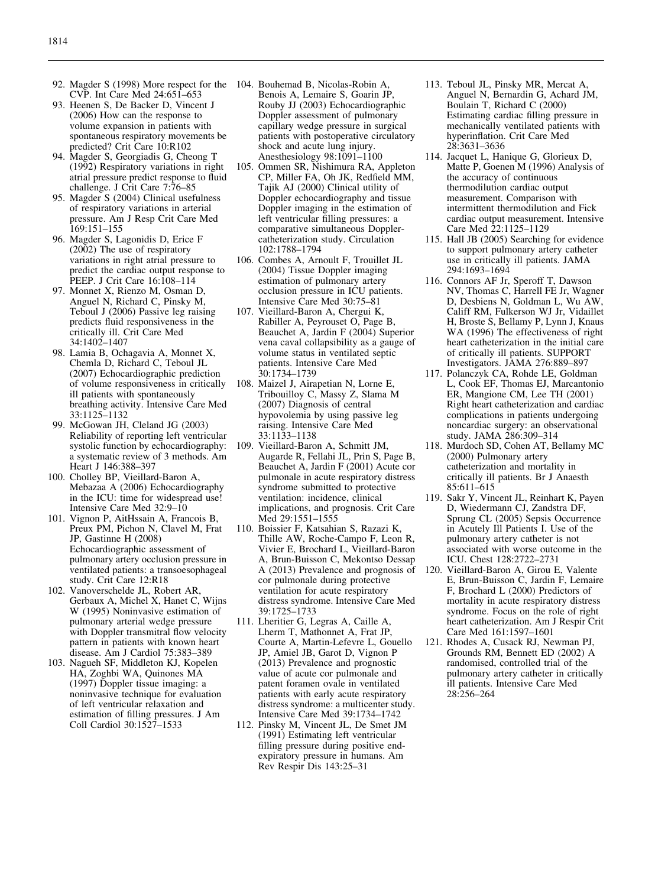- <span id="page-19-0"></span>92. Magder S (1998) More respect for the 104. Bouhemad B, Nicolas-Robin A, CVP. Int Care Med 24:651–653
- 93. Heenen S, De Backer D, Vincent J (2006) How can the response to volume expansion in patients with spontaneous respiratory movements be predicted? Crit Care 10:R102
- 94. Magder S, Georgiadis G, Cheong T (1992) Respiratory variations in right atrial pressure predict response to fluid challenge. J Crit Care 7:76–85
- 95. Magder S (2004) Clinical usefulness of respiratory variations in arterial pressure. Am J Resp Crit Care Med 169:151–155
- 96. Magder S, Lagonidis D, Erice F (2002) The use of respiratory variations in right atrial pressure to predict the cardiac output response to PEEP. J Crit Care 16:108–114
- 97. Monnet X, Rienzo M, Osman D, Anguel N, Richard C, Pinsky M, Teboul J (2006) Passive leg raising predicts fluid responsiveness in the critically ill. Crit Care Med 34:1402–1407
- 98. Lamia B, Ochagavia A, Monnet X, Chemla D, Richard C, Teboul JL (2007) Echocardiographic prediction of volume responsiveness in critically ill patients with spontaneously breathing activity. Intensive Care Med 33:1125–1132
- 99. McGowan JH, Cleland JG (2003) Reliability of reporting left ventricular systolic function by echocardiography: a systematic review of 3 methods. Am Heart J 146:388–397
- 100. Cholley BP, Vieillard-Baron A, Mebazaa A (2006) Echocardiography in the ICU: time for widespread use! Intensive Care Med 32:9–10
- 101. Vignon P, AitHssain A, Francois B, Preux PM, Pichon N, Clavel M, Frat JP, Gastinne H (2008) Echocardiographic assessment of pulmonary artery occlusion pressure in ventilated patients: a transoesophageal study. Crit Care 12:R18
- 102. Vanoverschelde JL, Robert AR, Gerbaux A, Michel X, Hanet C, Wijns W (1995) Noninvasive estimation of pulmonary arterial wedge pressure with Doppler transmitral flow velocity pattern in patients with known heart disease. Am J Cardiol 75:383–389
- 103. Nagueh SF, Middleton KJ, Kopelen HA, Zoghbi WA, Quinones MA (1997) Doppler tissue imaging: a noninvasive technique for evaluation of left ventricular relaxation and estimation of filling pressures. J Am Coll Cardiol 30:1527–1533
- Benois A, Lemaire S, Goarin JP, Rouby JJ (2003) Echocardiographic Doppler assessment of pulmonary capillary wedge pressure in surgical patients with postoperative circulatory shock and acute lung injury. Anesthesiology 98:1091–1100
- 105. Ommen SR, Nishimura RA, Appleton CP, Miller FA, Oh JK, Redfield MM, Tajik AJ (2000) Clinical utility of Doppler echocardiography and tissue Doppler imaging in the estimation of left ventricular filling pressures: a comparative simultaneous Dopplercatheterization study. Circulation 102:1788–1794
- 106. Combes A, Arnoult F, Trouillet JL (2004) Tissue Doppler imaging estimation of pulmonary artery occlusion pressure in ICU patients. Intensive Care Med 30:75–81
- 107. Vieillard-Baron A, Chergui K, Rabiller A, Peyrouset O, Page B, Beauchet A, Jardin F (2004) Superior vena caval collapsibility as a gauge of volume status in ventilated septic patients. Intensive Care Med 30:1734–1739
- 108. Maizel J, Airapetian N, Lorne E, Tribouilloy C, Massy Z, Slama M (2007) Diagnosis of central hypovolemia by using passive leg raising. Intensive Care Med 33:1133–1138
- 109. Vieillard-Baron A, Schmitt JM, Augarde R, Fellahi JL, Prin S, Page B, Beauchet A, Jardin F (2001) Acute cor pulmonale in acute respiratory distress syndrome submitted to protective ventilation: incidence, clinical implications, and prognosis. Crit Care Med 29:1551–1555
- 110. Boissier F, Katsahian S, Razazi K, Thille AW, Roche-Campo F, Leon R, Vivier E, Brochard L, Vieillard-Baron A, Brun-Buisson C, Mekontso Dessap A (2013) Prevalence and prognosis of cor pulmonale during protective ventilation for acute respiratory distress syndrome. Intensive Care Med 39:1725–1733
- 111. Lheritier G, Legras A, Caille A, Lherm T, Mathonnet A, Frat JP, Courte A, Martin-Lefevre L, Gouello JP, Amiel JB, Garot D, Vignon P (2013) Prevalence and prognostic value of acute cor pulmonale and patent foramen ovale in ventilated patients with early acute respiratory distress syndrome: a multicenter study. Intensive Care Med 39:1734–1742
- 112. Pinsky M, Vincent JL, De Smet JM (1991) Estimating left ventricular filling pressure during positive endexpiratory pressure in humans. Am Rev Respir Dis 143:25–31
- 113. Teboul JL, Pinsky MR, Mercat A, Anguel N, Bernardin G, Achard JM, Boulain T, Richard C (2000) Estimating cardiac filling pressure in mechanically ventilated patients with hyperinflation. Crit Care Med 28:3631–3636
- 114. Jacquet L, Hanique G, Glorieux D, Matte P, Goenen M (1996) Analysis of the accuracy of continuous thermodilution cardiac output measurement. Comparison with intermittent thermodilution and Fick cardiac output measurement. Intensive Care Med 22:1125–1129
- 115. Hall JB (2005) Searching for evidence to support pulmonary artery catheter use in critically ill patients. JAMA 294:1693–1694
- 116. Connors AF Jr, Speroff T, Dawson NV, Thomas C, Harrell FE Jr, Wagner D, Desbiens N, Goldman L, Wu AW, Califf RM, Fulkerson WJ Jr, Vidaillet H, Broste S, Bellamy P, Lynn J, Knaus WA (1996) The effectiveness of right heart catheterization in the initial care of critically ill patients. SUPPORT Investigators. JAMA 276:889–897
- 117. Polanczyk CA, Rohde LE, Goldman L, Cook EF, Thomas EJ, Marcantonio ER, Mangione CM, Lee TH (2001) Right heart catheterization and cardiac complications in patients undergoing noncardiac surgery: an observational study. JAMA 286:309–314
- 118. Murdoch SD, Cohen AT, Bellamy MC (2000) Pulmonary artery catheterization and mortality in critically ill patients. Br J Anaesth 85:611–615
- 119. Sakr Y, Vincent JL, Reinhart K, Payen D, Wiedermann CJ, Zandstra DF, Sprung CL (2005) Sepsis Occurrence in Acutely Ill Patients I. Use of the pulmonary artery catheter is not associated with worse outcome in the ICU. Chest 128:2722–2731
- 120. Vieillard-Baron A, Girou E, Valente E, Brun-Buisson C, Jardin F, Lemaire F, Brochard L (2000) Predictors of mortality in acute respiratory distress syndrome. Focus on the role of right heart catheterization. Am J Respir Crit Care Med 161:1597–1601
- 121. Rhodes A, Cusack RJ, Newman PJ, Grounds RM, Bennett ED (2002) A randomised, controlled trial of the pulmonary artery catheter in critically ill patients. Intensive Care Med 28:256–264